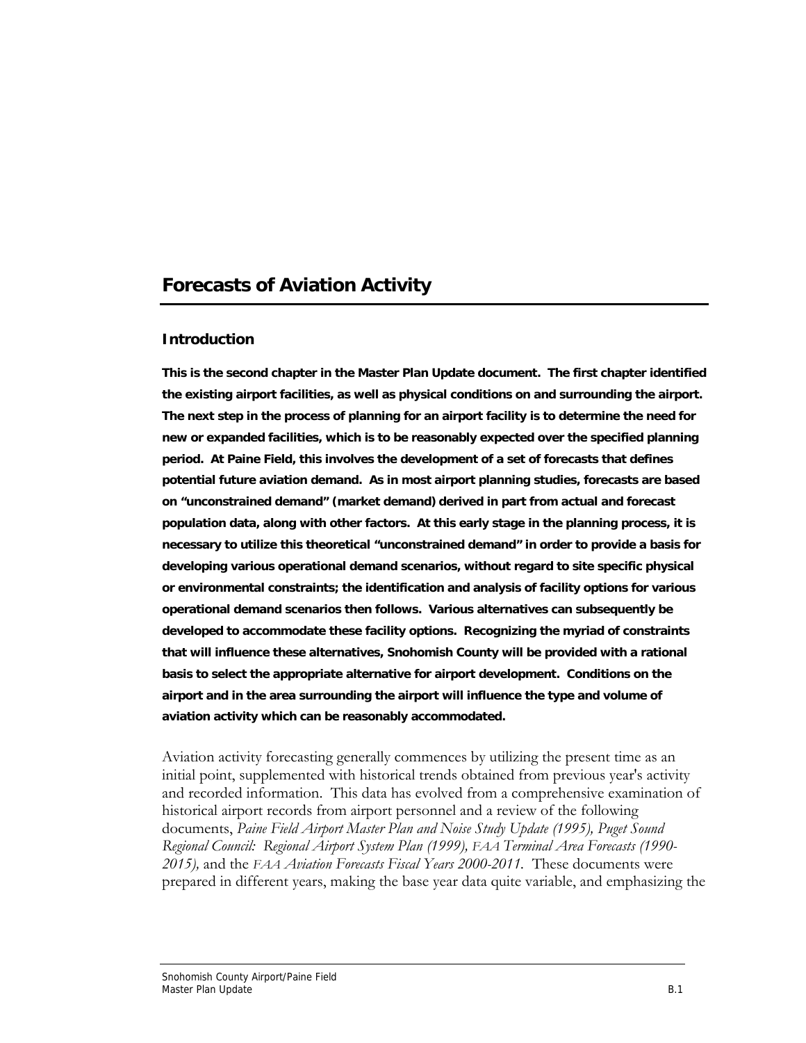# **Forecasts of Aviation Activity**

### **Introduction**

**This is the second chapter in the Master Plan Update document. The first chapter identified the existing airport facilities, as well as physical conditions on and surrounding the airport. The next step in the process of planning for an airport facility is to determine the need for new or expanded facilities, which is to be reasonably expected over the specified planning period. At Paine Field, this involves the development of a set of forecasts that defines potential future aviation demand. As in most airport planning studies, forecasts are based on "unconstrained demand" (market demand) derived in part from actual and forecast population data, along with other factors. At this early stage in the planning process, it is necessary to utilize this theoretical "unconstrained demand" in order to provide a basis for developing various operational demand scenarios, without regard to site specific physical or environmental constraints; the identification and analysis of facility options for various operational demand scenarios then follows. Various alternatives can subsequently be developed to accommodate these facility options. Recognizing the myriad of constraints that will influence these alternatives, Snohomish County will be provided with a rational basis to select the appropriate alternative for airport development. Conditions on the airport and in the area surrounding the airport will influence the type and volume of aviation activity which can be reasonably accommodated.** 

Aviation activity forecasting generally commences by utilizing the present time as an initial point, supplemented with historical trends obtained from previous year's activity and recorded information. This data has evolved from a comprehensive examination of historical airport records from airport personnel and a review of the following documents, *Paine Field Airport Master Plan and Noise Study Update (1995), Puget Sound Regional Council: Regional Airport System Plan (1999), FAA Terminal Area Forecasts (1990- 2015),* and the *FAA Aviation Forecasts Fiscal Years 2000-2011.* These documents were prepared in different years, making the base year data quite variable, and emphasizing the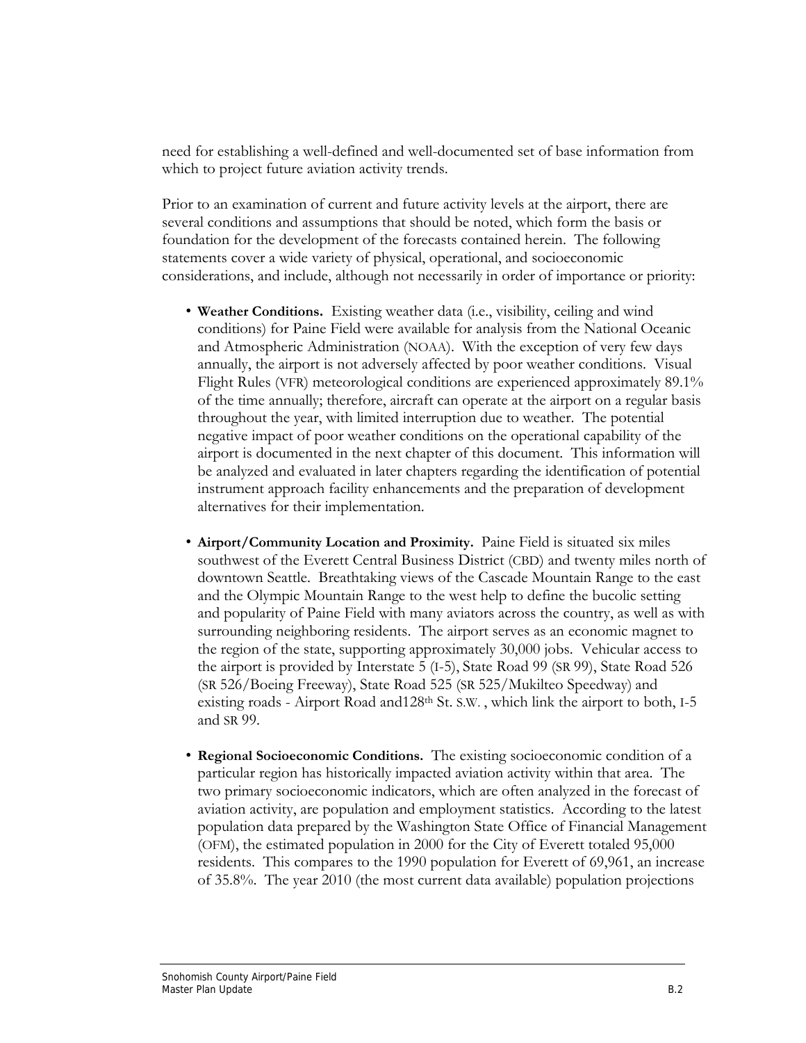need for establishing a well-defined and well-documented set of base information from which to project future aviation activity trends.

Prior to an examination of current and future activity levels at the airport, there are several conditions and assumptions that should be noted, which form the basis or foundation for the development of the forecasts contained herein. The following statements cover a wide variety of physical, operational, and socioeconomic considerations, and include, although not necessarily in order of importance or priority:

- **Weather Conditions.** Existing weather data (i.e., visibility, ceiling and wind conditions) for Paine Field were available for analysis from the National Oceanic and Atmospheric Administration (NOAA). With the exception of very few days annually, the airport is not adversely affected by poor weather conditions. Visual Flight Rules (VFR) meteorological conditions are experienced approximately 89.1% of the time annually; therefore, aircraft can operate at the airport on a regular basis throughout the year, with limited interruption due to weather. The potential negative impact of poor weather conditions on the operational capability of the airport is documented in the next chapter of this document. This information will be analyzed and evaluated in later chapters regarding the identification of potential instrument approach facility enhancements and the preparation of development alternatives for their implementation.
- **Airport/Community Location and Proximity.** Paine Field is situated six miles southwest of the Everett Central Business District (CBD) and twenty miles north of downtown Seattle. Breathtaking views of the Cascade Mountain Range to the east and the Olympic Mountain Range to the west help to define the bucolic setting and popularity of Paine Field with many aviators across the country, as well as with surrounding neighboring residents. The airport serves as an economic magnet to the region of the state, supporting approximately 30,000 jobs. Vehicular access to the airport is provided by Interstate 5 (I-5), State Road 99 (SR 99), State Road 526 (SR 526/Boeing Freeway), State Road 525 (SR 525/Mukilteo Speedway) and existing roads - Airport Road and 128<sup>th</sup> St. S.W., which link the airport to both, I-5 and SR 99.
- **Regional Socioeconomic Conditions.** The existing socioeconomic condition of a particular region has historically impacted aviation activity within that area. The two primary socioeconomic indicators, which are often analyzed in the forecast of aviation activity, are population and employment statistics. According to the latest population data prepared by the Washington State Office of Financial Management (OFM), the estimated population in 2000 for the City of Everett totaled 95,000 residents. This compares to the 1990 population for Everett of 69,961, an increase of 35.8%. The year 2010 (the most current data available) population projections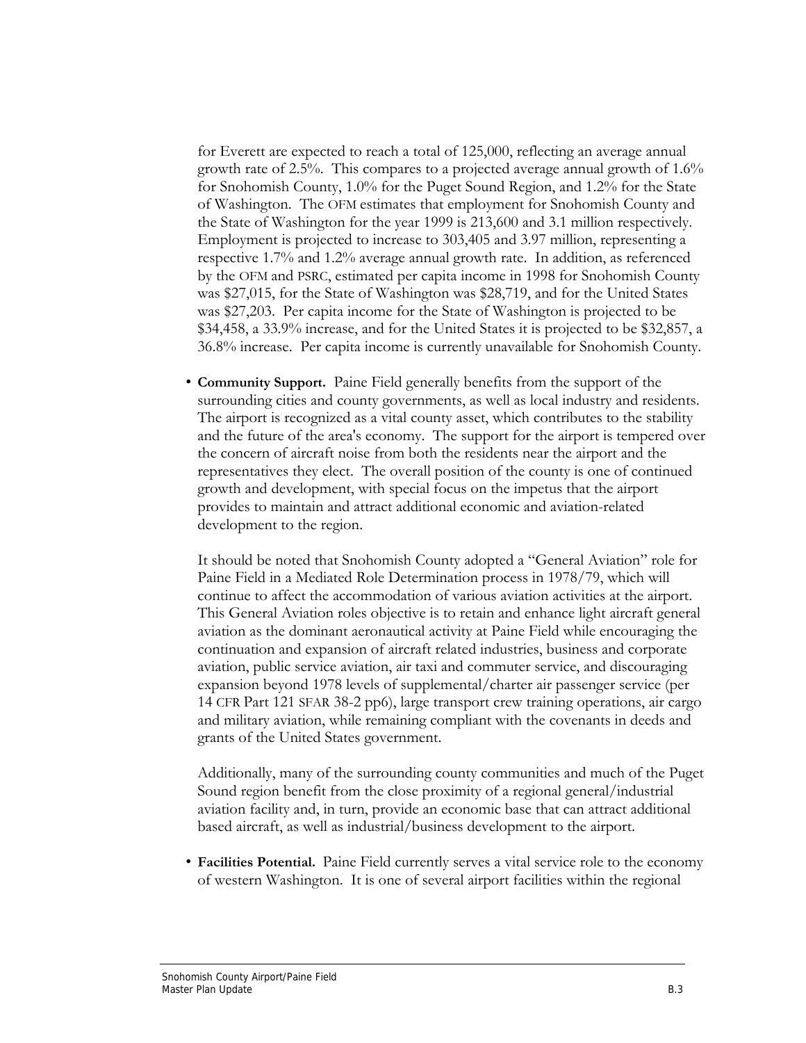for Everett are expected to reach a total of 125,000, reflecting an average annual growth rate of 2.5%. This compares to a projected average annual growth of 1.6% for Snohomish County, 1.0% for the Puget Sound Region, and 1.2% for the State of Washington. The OFM estimates that employment for Snohomish County and the State of Washington for the year 1999 is 213,600 and 3.1 million respectively. Employment is projected to increase to 303,405 and 3.97 million, representing a respective 1.7% and 1.2% average annual growth rate. In addition, as referenced by the OFM and PSRC, estimated per capita income in 1998 for Snohomish County was \$27,015, for the State of Washington was \$28,719, and for the United States was \$27,203. Per capita income for the State of Washington is projected to be \$34,458, a 33.9% increase, and for the United States it is projected to be \$32,857, a 36.8% increase. Per capita income is currently unavailable for Snohomish County.

• **Community Support.** Paine Field generally benefits from the support of the surrounding cities and county governments, as well as local industry and residents. The airport is recognized as a vital county asset, which contributes to the stability and the future of the area's economy. The support for the airport is tempered over the concern of aircraft noise from both the residents near the airport and the representatives they elect. The overall position of the county is one of continued growth and development, with special focus on the impetus that the airport provides to maintain and attract additional economic and aviation-related development to the region.

 It should be noted that Snohomish County adopted a "General Aviation" role for Paine Field in a Mediated Role Determination process in 1978/79, which will continue to affect the accommodation of various aviation activities at the airport. This General Aviation roles objective is to retain and enhance light aircraft general aviation as the dominant aeronautical activity at Paine Field while encouraging the continuation and expansion of aircraft related industries, business and corporate aviation, public service aviation, air taxi and commuter service, and discouraging expansion beyond 1978 levels of supplemental/charter air passenger service (per 14 CFR Part 121 SFAR 38-2 pp6), large transport crew training operations, air cargo and military aviation, while remaining compliant with the covenants in deeds and grants of the United States government.

 Additionally, many of the surrounding county communities and much of the Puget Sound region benefit from the close proximity of a regional general/industrial aviation facility and, in turn, provide an economic base that can attract additional based aircraft, as well as industrial/business development to the airport.

• **Facilities Potential.** Paine Field currently serves a vital service role to the economy of western Washington. It is one of several airport facilities within the regional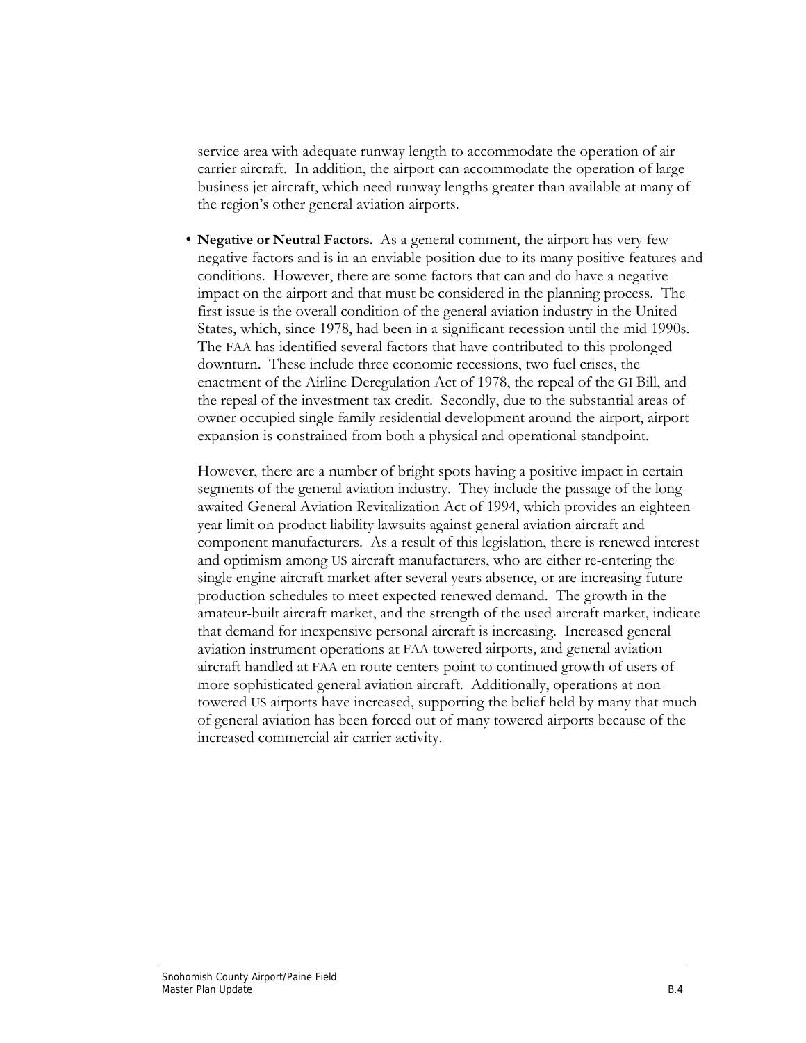service area with adequate runway length to accommodate the operation of air carrier aircraft. In addition, the airport can accommodate the operation of large business jet aircraft, which need runway lengths greater than available at many of the region's other general aviation airports.

• **Negative or Neutral Factors.** As a general comment, the airport has very few negative factors and is in an enviable position due to its many positive features and conditions. However, there are some factors that can and do have a negative impact on the airport and that must be considered in the planning process. The first issue is the overall condition of the general aviation industry in the United States, which, since 1978, had been in a significant recession until the mid 1990s. The FAA has identified several factors that have contributed to this prolonged downturn. These include three economic recessions, two fuel crises, the enactment of the Airline Deregulation Act of 1978, the repeal of the GI Bill, and the repeal of the investment tax credit. Secondly, due to the substantial areas of owner occupied single family residential development around the airport, airport expansion is constrained from both a physical and operational standpoint.

However, there are a number of bright spots having a positive impact in certain segments of the general aviation industry. They include the passage of the longawaited General Aviation Revitalization Act of 1994, which provides an eighteenyear limit on product liability lawsuits against general aviation aircraft and component manufacturers. As a result of this legislation, there is renewed interest and optimism among US aircraft manufacturers, who are either re-entering the single engine aircraft market after several years absence, or are increasing future production schedules to meet expected renewed demand. The growth in the amateur-built aircraft market, and the strength of the used aircraft market, indicate that demand for inexpensive personal aircraft is increasing. Increased general aviation instrument operations at FAA towered airports, and general aviation aircraft handled at FAA en route centers point to continued growth of users of more sophisticated general aviation aircraft. Additionally, operations at nontowered US airports have increased, supporting the belief held by many that much of general aviation has been forced out of many towered airports because of the increased commercial air carrier activity.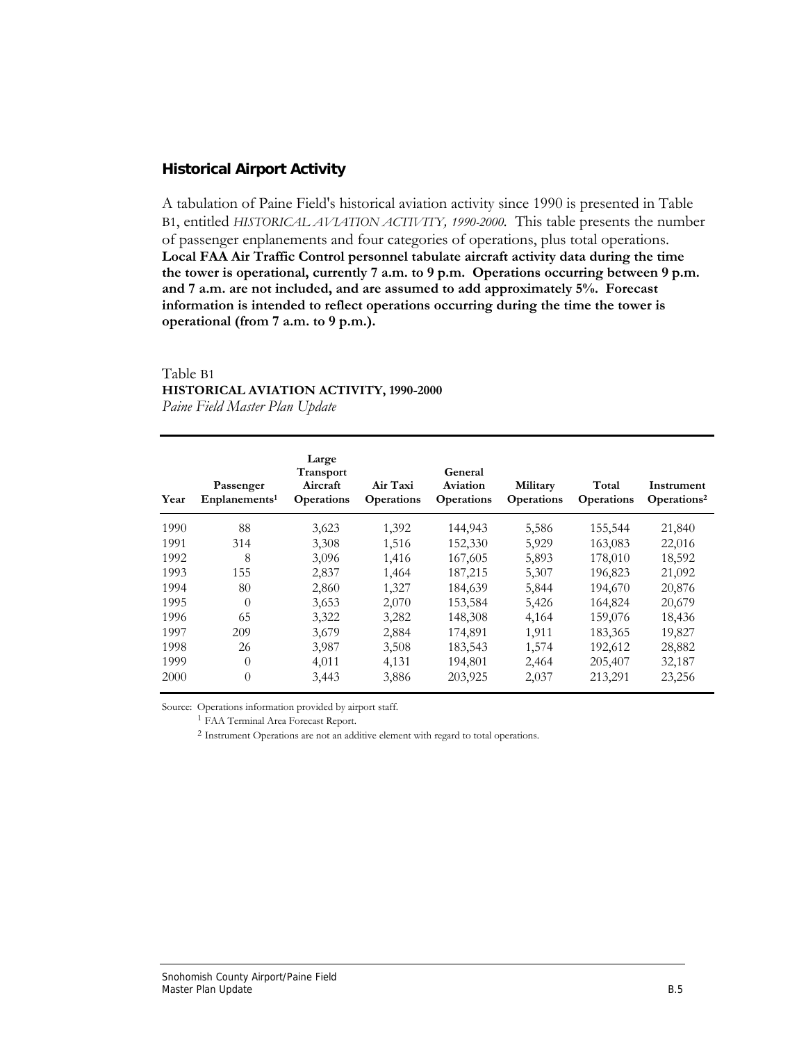### **Historical Airport Activity**

A tabulation of Paine Field's historical aviation activity since 1990 is presented in Table B1, entitled *HISTORICAL AVIATION ACTIVITY, 1990-2000.* This table presents the number of passenger enplanements and four categories of operations, plus total operations. **Local FAA Air Traffic Control personnel tabulate aircraft activity data during the time the tower is operational, currently 7 a.m. to 9 p.m. Operations occurring between 9 p.m. and 7 a.m. are not included, and are assumed to add approximately 5%. Forecast information is intended to reflect operations occurring during the time the tower is operational (from 7 a.m. to 9 p.m.).**

#### Table B1 **HISTORICAL AVIATION ACTIVITY, 1990-2000** *Paine Field Master Plan Update*

| Year | Passenger<br>Enplanements <sup>1</sup> | Large<br><b>Transport</b><br>Aircraft<br><b>Operations</b> | Air Taxi<br><b>Operations</b> | General<br>Aviation<br><b>Operations</b> | Military<br><b>Operations</b> | Total<br><b>Operations</b> | Instrument<br>Operations <sup>2</sup> |
|------|----------------------------------------|------------------------------------------------------------|-------------------------------|------------------------------------------|-------------------------------|----------------------------|---------------------------------------|
| 1990 | 88                                     | 3,623                                                      | 1,392                         | 144,943                                  | 5,586                         | 155,544                    | 21,840                                |
| 1991 | 314                                    | 3,308                                                      | 1,516                         | 152,330                                  | 5,929                         | 163,083                    | 22,016                                |
| 1992 | 8                                      | 3,096                                                      | 1,416                         | 167,605                                  | 5,893                         | 178,010                    | 18,592                                |
| 1993 | 155                                    | 2,837                                                      | 1,464                         | 187,215                                  | 5,307                         | 196,823                    | 21,092                                |
| 1994 | 80                                     | 2,860                                                      | 1,327                         | 184,639                                  | 5,844                         | 194,670                    | 20,876                                |
| 1995 | $\theta$                               | 3,653                                                      | 2,070                         | 153,584                                  | 5,426                         | 164,824                    | 20,679                                |
| 1996 | 65                                     | 3,322                                                      | 3,282                         | 148,308                                  | 4,164                         | 159,076                    | 18,436                                |
| 1997 | 209                                    | 3,679                                                      | 2,884                         | 174,891                                  | 1,911                         | 183,365                    | 19,827                                |
| 1998 | 26                                     | 3,987                                                      | 3,508                         | 183,543                                  | 1,574                         | 192,612                    | 28,882                                |
| 1999 | $\theta$                               | 4,011                                                      | 4,131                         | 194,801                                  | 2,464                         | 205,407                    | 32,187                                |
| 2000 | $\theta$                               | 3,443                                                      | 3,886                         | 203,925                                  | 2,037                         | 213,291                    | 23,256                                |

Source: Operations information provided by airport staff.

<sup>1</sup> FAA Terminal Area Forecast Report.

<sup>2</sup> Instrument Operations are not an additive element with regard to total operations.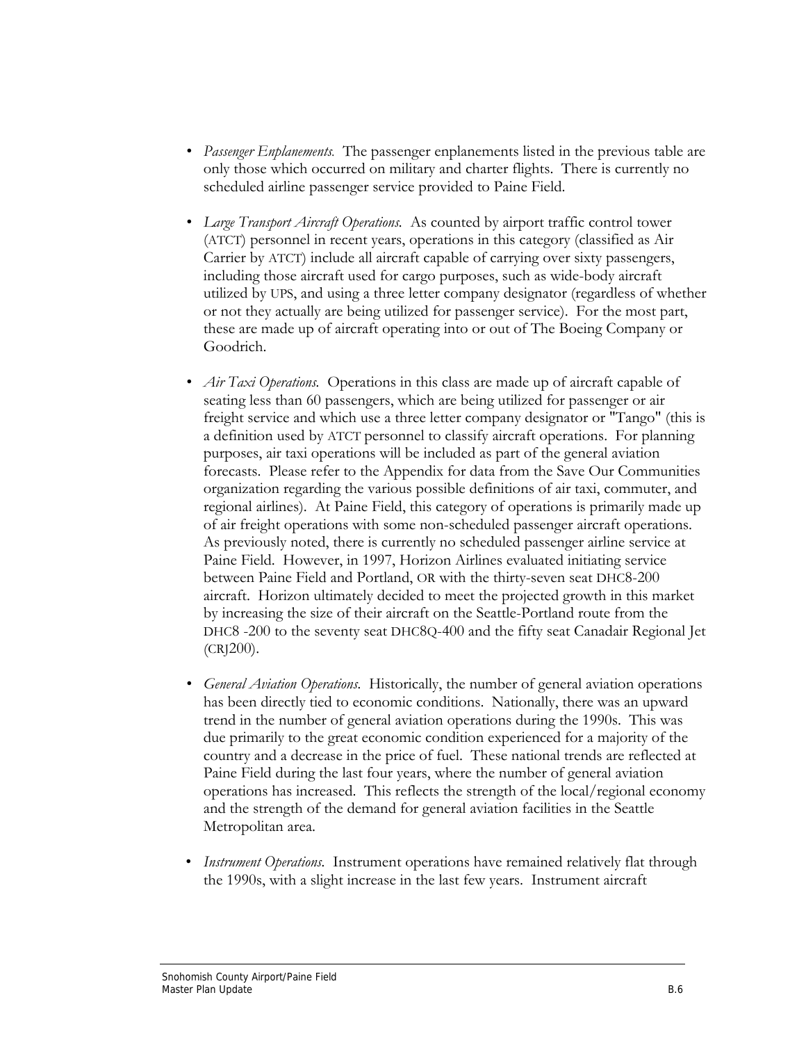- *Passenger Enplanements.* The passenger enplanements listed in the previous table are only those which occurred on military and charter flights. There is currently no scheduled airline passenger service provided to Paine Field.
- *Large Transport Aircraft Operations.* As counted by airport traffic control tower (ATCT) personnel in recent years, operations in this category (classified as Air Carrier by ATCT) include all aircraft capable of carrying over sixty passengers, including those aircraft used for cargo purposes, such as wide-body aircraft utilized by UPS, and using a three letter company designator (regardless of whether or not they actually are being utilized for passenger service). For the most part, these are made up of aircraft operating into or out of The Boeing Company or Goodrich.
- *Air Taxi Operations.* Operations in this class are made up of aircraft capable of seating less than 60 passengers, which are being utilized for passenger or air freight service and which use a three letter company designator or "Tango" (this is a definition used by ATCT personnel to classify aircraft operations. For planning purposes, air taxi operations will be included as part of the general aviation forecasts. Please refer to the Appendix for data from the Save Our Communities organization regarding the various possible definitions of air taxi, commuter, and regional airlines). At Paine Field, this category of operations is primarily made up of air freight operations with some non-scheduled passenger aircraft operations. As previously noted, there is currently no scheduled passenger airline service at Paine Field. However, in 1997, Horizon Airlines evaluated initiating service between Paine Field and Portland, OR with the thirty-seven seat DHC8-200 aircraft. Horizon ultimately decided to meet the projected growth in this market by increasing the size of their aircraft on the Seattle-Portland route from the DHC8 -200 to the seventy seat DHC8Q-400 and the fifty seat Canadair Regional Jet (CRJ200).
- *• General Aviation Operations.* Historically, the number of general aviation operations has been directly tied to economic conditions. Nationally, there was an upward trend in the number of general aviation operations during the 1990s. This was due primarily to the great economic condition experienced for a majority of the country and a decrease in the price of fuel. These national trends are reflected at Paine Field during the last four years, where the number of general aviation operations has increased. This reflects the strength of the local/regional economy and the strength of the demand for general aviation facilities in the Seattle Metropolitan area.
- *Instrument Operations.* Instrument operations have remained relatively flat through the 1990s, with a slight increase in the last few years. Instrument aircraft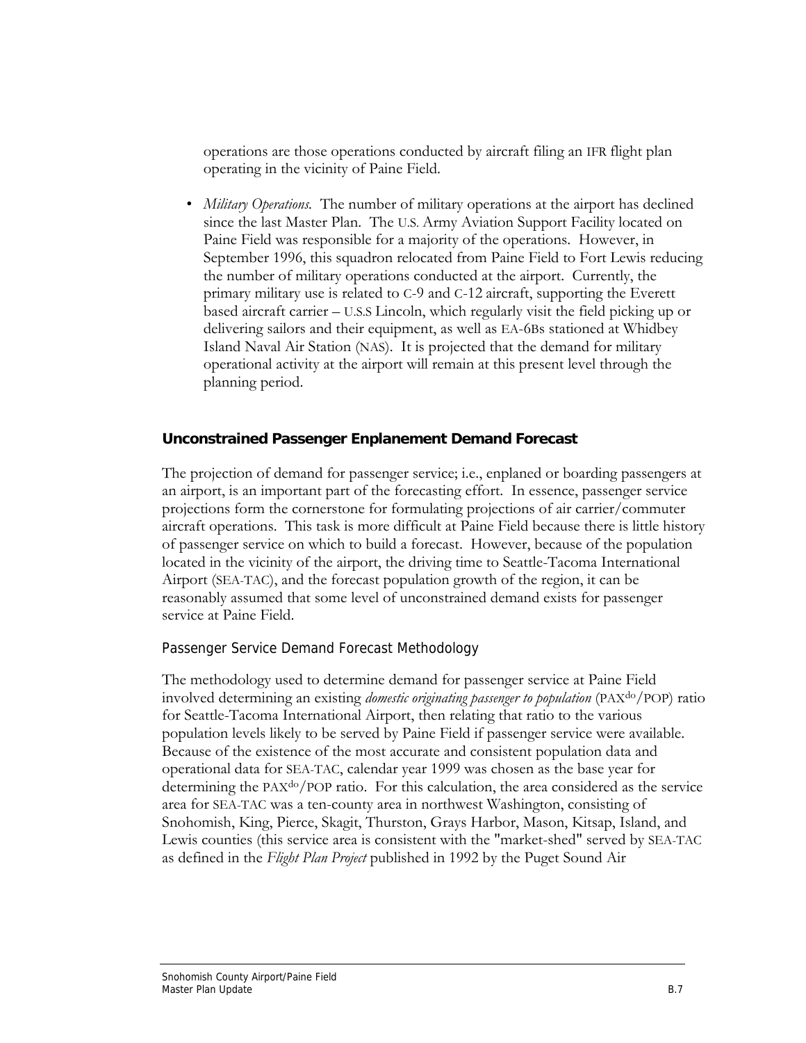operations are those operations conducted by aircraft filing an IFR flight plan operating in the vicinity of Paine Field.

*• Military Operations.* The number of military operations at the airport has declined since the last Master Plan. The U.S. Army Aviation Support Facility located on Paine Field was responsible for a majority of the operations. However, in September 1996, this squadron relocated from Paine Field to Fort Lewis reducing the number of military operations conducted at the airport. Currently, the primary military use is related to C-9 and C-12 aircraft, supporting the Everett based aircraft carrier – U.S.S Lincoln, which regularly visit the field picking up or delivering sailors and their equipment, as well as EA-6Bs stationed at Whidbey Island Naval Air Station (NAS). It is projected that the demand for military operational activity at the airport will remain at this present level through the planning period.

### **Unconstrained Passenger Enplanement Demand Forecast**

The projection of demand for passenger service; i.e., enplaned or boarding passengers at an airport, is an important part of the forecasting effort. In essence, passenger service projections form the cornerstone for formulating projections of air carrier/commuter aircraft operations. This task is more difficult at Paine Field because there is little history of passenger service on which to build a forecast. However, because of the population located in the vicinity of the airport, the driving time to Seattle-Tacoma International Airport (SEA-TAC), and the forecast population growth of the region, it can be reasonably assumed that some level of unconstrained demand exists for passenger service at Paine Field.

### Passenger Service Demand Forecast Methodology

The methodology used to determine demand for passenger service at Paine Field involved determining an existing *domestic originating passenger to population* (PAXdo/POP) ratio for Seattle-Tacoma International Airport, then relating that ratio to the various population levels likely to be served by Paine Field if passenger service were available. Because of the existence of the most accurate and consistent population data and operational data for SEA-TAC, calendar year 1999 was chosen as the base year for determining the PAX<sup>do</sup>/POP ratio. For this calculation, the area considered as the service area for SEA-TAC was a ten-county area in northwest Washington, consisting of Snohomish, King, Pierce, Skagit, Thurston, Grays Harbor, Mason, Kitsap, Island, and Lewis counties (this service area is consistent with the "market-shed" served by SEA-TAC as defined in the *Flight Plan Project* published in 1992 by the Puget Sound Air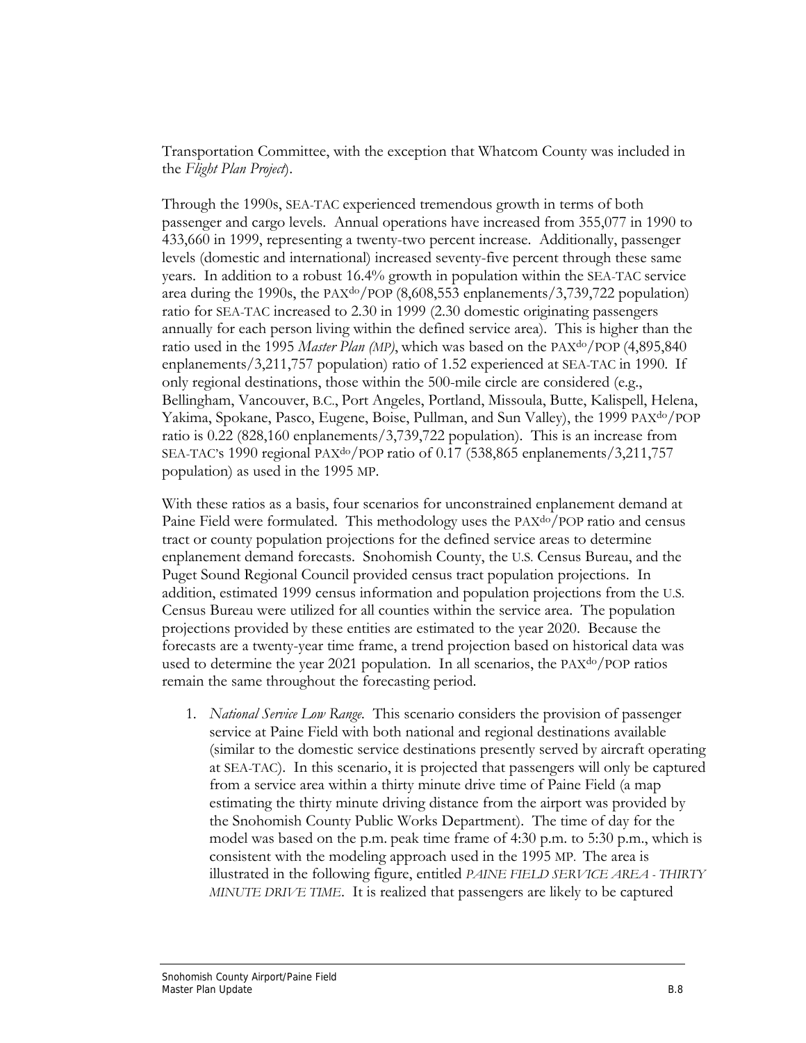Transportation Committee, with the exception that Whatcom County was included in the *Flight Plan Project*).

Through the 1990s, SEA-TAC experienced tremendous growth in terms of both passenger and cargo levels. Annual operations have increased from 355,077 in 1990 to 433,660 in 1999, representing a twenty-two percent increase. Additionally, passenger levels (domestic and international) increased seventy-five percent through these same years. In addition to a robust 16.4% growth in population within the SEA-TAC service area during the 1990s, the PAXdo/POP (8,608,553 enplanements/3,739,722 population) ratio for SEA-TAC increased to 2.30 in 1999 (2.30 domestic originating passengers annually for each person living within the defined service area). This is higher than the ratio used in the 1995 *Master Plan (MP)*, which was based on the PAX<sup>do</sup>/POP (4,895,840) enplanements/3,211,757 population) ratio of 1.52 experienced at SEA-TAC in 1990. If only regional destinations, those within the 500-mile circle are considered (e.g., Bellingham, Vancouver, B.C., Port Angeles, Portland, Missoula, Butte, Kalispell, Helena, Yakima, Spokane, Pasco, Eugene, Boise, Pullman, and Sun Valley), the 1999 PAXdo/POP ratio is 0.22 (828,160 enplanements/3,739,722 population). This is an increase from SEA-TAC's 1990 regional PAX<sup>do</sup>/POP ratio of 0.17 (538,865 enplanements/3,211,757 population) as used in the 1995 MP.

With these ratios as a basis, four scenarios for unconstrained enplanement demand at Paine Field were formulated. This methodology uses the PAX<sup>do</sup>/POP ratio and census tract or county population projections for the defined service areas to determine enplanement demand forecasts. Snohomish County, the U.S. Census Bureau, and the Puget Sound Regional Council provided census tract population projections. In addition, estimated 1999 census information and population projections from the U.S. Census Bureau were utilized for all counties within the service area. The population projections provided by these entities are estimated to the year 2020. Because the forecasts are a twenty-year time frame, a trend projection based on historical data was used to determine the year 2021 population. In all scenarios, the PAXdo/POP ratios remain the same throughout the forecasting period.

1. *National Service Low Range.* This scenario considers the provision of passenger service at Paine Field with both national and regional destinations available (similar to the domestic service destinations presently served by aircraft operating at SEA-TAC). In this scenario, it is projected that passengers will only be captured from a service area within a thirty minute drive time of Paine Field (a map estimating the thirty minute driving distance from the airport was provided by the Snohomish County Public Works Department). The time of day for the model was based on the p.m. peak time frame of 4:30 p.m. to 5:30 p.m., which is consistent with the modeling approach used in the 1995 MP. The area is illustrated in the following figure, entitled *PAINE FIELD SERVICE AREA - THIRTY MINUTE DRIVE TIME*. It is realized that passengers are likely to be captured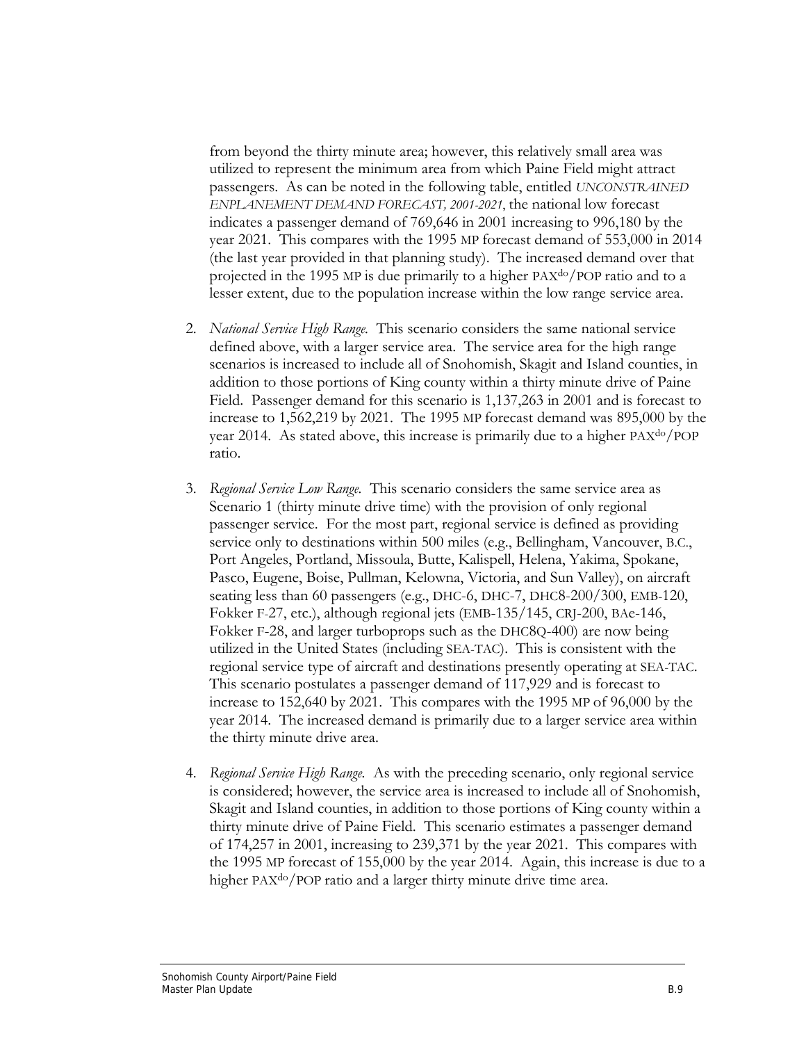from beyond the thirty minute area; however, this relatively small area was utilized to represent the minimum area from which Paine Field might attract passengers. As can be noted in the following table, entitled *UNCONSTRAINED ENPLANEMENT DEMAND FORECAST, 2001-2021*, the national low forecast indicates a passenger demand of 769,646 in 2001 increasing to 996,180 by the year 2021. This compares with the 1995 MP forecast demand of 553,000 in 2014 (the last year provided in that planning study). The increased demand over that projected in the 1995 MP is due primarily to a higher PAXdo/POP ratio and to a lesser extent, due to the population increase within the low range service area.

- 2. *National Service High Range.* This scenario considers the same national service defined above, with a larger service area. The service area for the high range scenarios is increased to include all of Snohomish, Skagit and Island counties, in addition to those portions of King county within a thirty minute drive of Paine Field. Passenger demand for this scenario is 1,137,263 in 2001 and is forecast to increase to 1,562,219 by 2021. The 1995 MP forecast demand was 895,000 by the year 2014. As stated above, this increase is primarily due to a higher PAXdo/POP ratio.
- 3. *Regional Service Low Range.* This scenario considers the same service area as Scenario 1 (thirty minute drive time) with the provision of only regional passenger service. For the most part, regional service is defined as providing service only to destinations within 500 miles (e.g., Bellingham, Vancouver, B.C., Port Angeles, Portland, Missoula, Butte, Kalispell, Helena, Yakima, Spokane, Pasco, Eugene, Boise, Pullman, Kelowna, Victoria, and Sun Valley), on aircraft seating less than 60 passengers (e.g., DHC-6, DHC-7, DHC8-200/300, EMB-120, Fokker F-27, etc.), although regional jets (EMB-135/145, CRJ-200, BAe-146, Fokker F-28, and larger turboprops such as the DHC8Q-400) are now being utilized in the United States (including SEA-TAC). This is consistent with the regional service type of aircraft and destinations presently operating at SEA-TAC. This scenario postulates a passenger demand of 117,929 and is forecast to increase to 152,640 by 2021. This compares with the 1995 MP of 96,000 by the year 2014. The increased demand is primarily due to a larger service area within the thirty minute drive area.
- 4. *Regional Service High Range.* As with the preceding scenario, only regional service is considered; however, the service area is increased to include all of Snohomish, Skagit and Island counties, in addition to those portions of King county within a thirty minute drive of Paine Field. This scenario estimates a passenger demand of 174,257 in 2001, increasing to 239,371 by the year 2021. This compares with the 1995 MP forecast of 155,000 by the year 2014. Again, this increase is due to a higher PAX<sup>do</sup>/POP ratio and a larger thirty minute drive time area.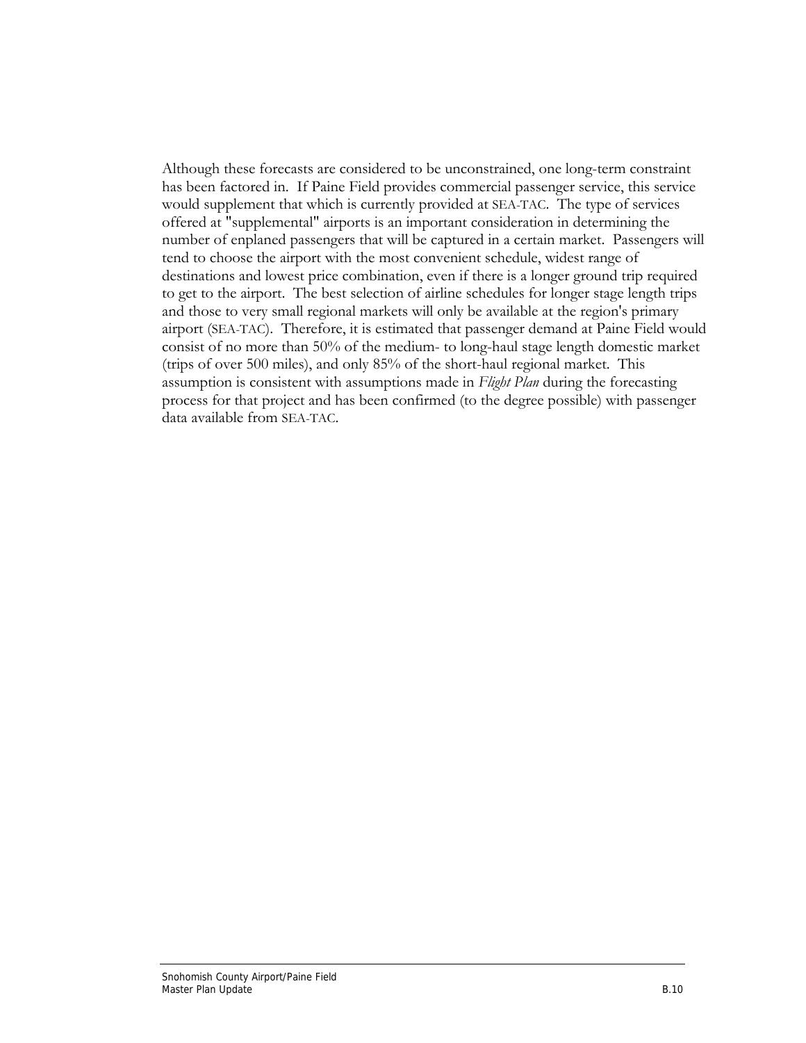Although these forecasts are considered to be unconstrained, one long-term constraint has been factored in. If Paine Field provides commercial passenger service, this service would supplement that which is currently provided at SEA-TAC. The type of services offered at "supplemental" airports is an important consideration in determining the number of enplaned passengers that will be captured in a certain market. Passengers will tend to choose the airport with the most convenient schedule, widest range of destinations and lowest price combination, even if there is a longer ground trip required to get to the airport. The best selection of airline schedules for longer stage length trips and those to very small regional markets will only be available at the region's primary airport (SEA-TAC). Therefore, it is estimated that passenger demand at Paine Field would consist of no more than 50% of the medium- to long-haul stage length domestic market (trips of over 500 miles), and only 85% of the short-haul regional market. This assumption is consistent with assumptions made in *Flight Plan* during the forecasting process for that project and has been confirmed (to the degree possible) with passenger data available from SEA-TAC.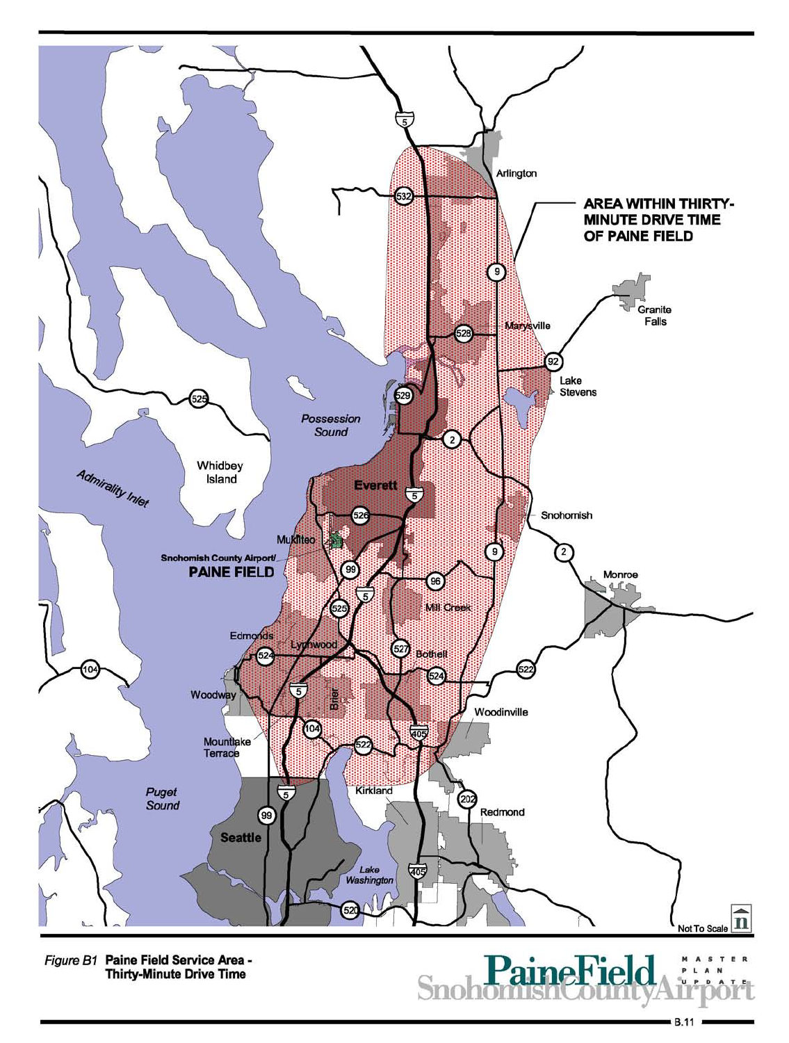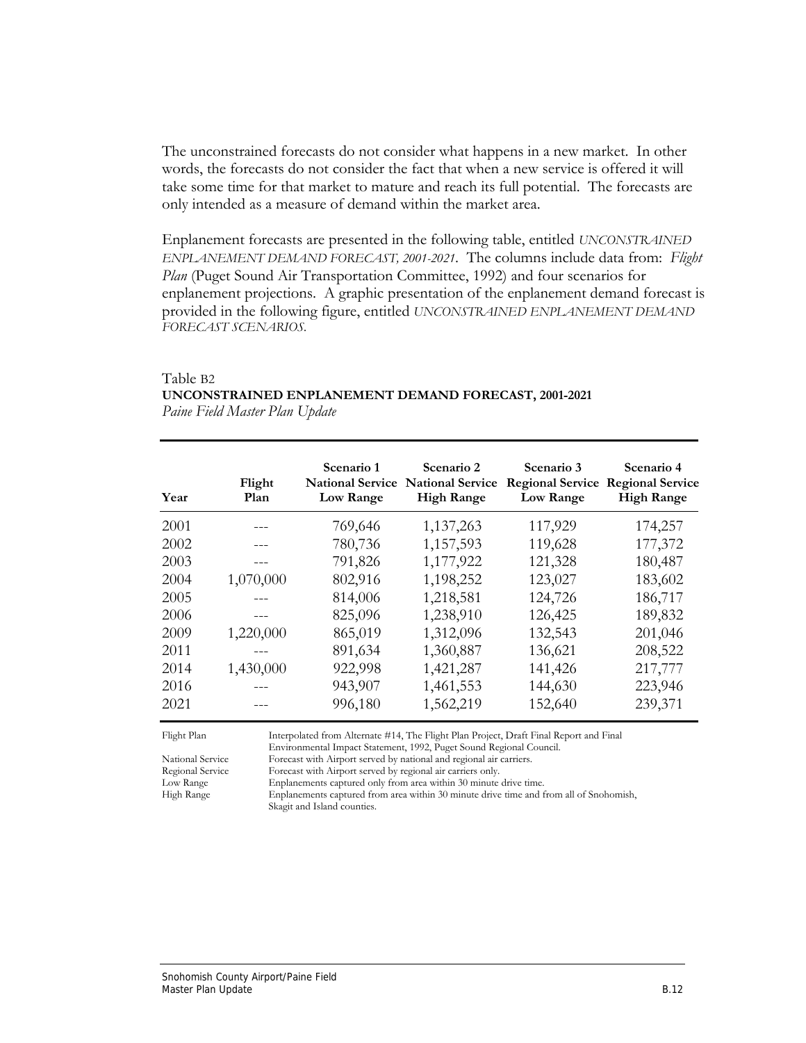The unconstrained forecasts do not consider what happens in a new market. In other words, the forecasts do not consider the fact that when a new service is offered it will take some time for that market to mature and reach its full potential. The forecasts are only intended as a measure of demand within the market area.

Enplanement forecasts are presented in the following table, entitled *UNCONSTRAINED ENPLANEMENT DEMAND FORECAST, 2001-2021*. The columns include data from: *Flight Plan* (Puget Sound Air Transportation Committee, 1992) and four scenarios for enplanement projections. A graphic presentation of the enplanement demand forecast is provided in the following figure, entitled *UNCONSTRAINED ENPLANEMENT DEMAND FORECAST SCENARIOS.*

#### Table B2 **UNCONSTRAINED ENPLANEMENT DEMAND FORECAST, 2001-2021**  *Paine Field Master Plan Update*

| Year | Flight<br>Plan | Scenario 1<br><b>National Service</b><br>Low Range | Scenario 2<br><b>National Service</b><br><b>High Range</b> | Scenario 3<br><b>Regional Service</b><br>Low Range | Scenario 4<br><b>Regional Service</b><br><b>High Range</b> |
|------|----------------|----------------------------------------------------|------------------------------------------------------------|----------------------------------------------------|------------------------------------------------------------|
| 2001 |                | 769,646                                            | 1,137,263                                                  | 117,929                                            | 174,257                                                    |
| 2002 |                | 780,736                                            | 1,157,593                                                  | 119,628                                            | 177,372                                                    |
| 2003 |                | 791,826                                            | 1,177,922                                                  | 121,328                                            | 180,487                                                    |
| 2004 | 1,070,000      | 802,916                                            | 1,198,252                                                  | 123,027                                            | 183,602                                                    |
| 2005 |                | 814,006                                            | 1,218,581                                                  | 124,726                                            | 186,717                                                    |
| 2006 |                | 825,096                                            | 1,238,910                                                  | 126,425                                            | 189,832                                                    |
| 2009 | 1,220,000      | 865,019                                            | 1,312,096                                                  | 132,543                                            | 201,046                                                    |
| 2011 |                | 891,634                                            | 1,360,887                                                  | 136,621                                            | 208,522                                                    |
| 2014 | 1,430,000      | 922,998                                            | 1,421,287                                                  | 141,426                                            | 217,777                                                    |
| 2016 |                | 943,907                                            | 1,461,553                                                  | 144,630                                            | 223,946                                                    |
| 2021 |                | 996,180                                            | 1,562,219                                                  | 152,640                                            | 239,371                                                    |

Flight Plan Interpolated from Alternate #14, The Flight Plan Project, Draft Final Report and Final

Environmental Impact Statement, 1992, Puget Sound Regional Council.<br>National Service Forecast with Airport served by national and regional air carriers. Forecast with Airport served by national and regional air carriers.

Regional Service Forecast with Airport served by regional air carriers only.<br>
Low Range Enplanements captured only from area within 30 minute Low Range Enplanements captured only from area within 30 minute drive time.<br>High Range Enplanements captured from area within 30 minute drive time and f

Enplanements captured from area within 30 minute drive time and from all of Snohomish, Skagit and Island counties.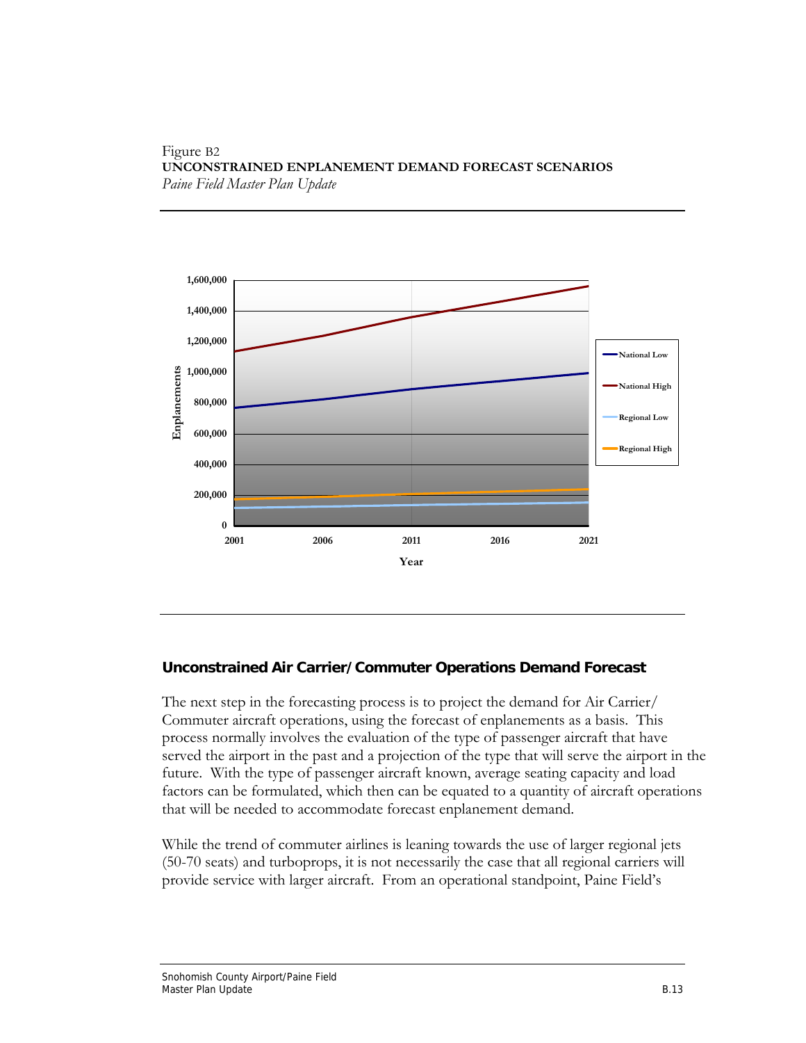#### Figure B2 **UNCONSTRAINED ENPLANEMENT DEMAND FORECAST SCENARIOS**  *Paine Field Master Plan Update*



### **Unconstrained Air Carrier/Commuter Operations Demand Forecast**

The next step in the forecasting process is to project the demand for Air Carrier/ Commuter aircraft operations, using the forecast of enplanements as a basis. This process normally involves the evaluation of the type of passenger aircraft that have served the airport in the past and a projection of the type that will serve the airport in the future. With the type of passenger aircraft known, average seating capacity and load factors can be formulated, which then can be equated to a quantity of aircraft operations that will be needed to accommodate forecast enplanement demand.

While the trend of commuter airlines is leaning towards the use of larger regional jets (50-70 seats) and turboprops, it is not necessarily the case that all regional carriers will provide service with larger aircraft. From an operational standpoint, Paine Field's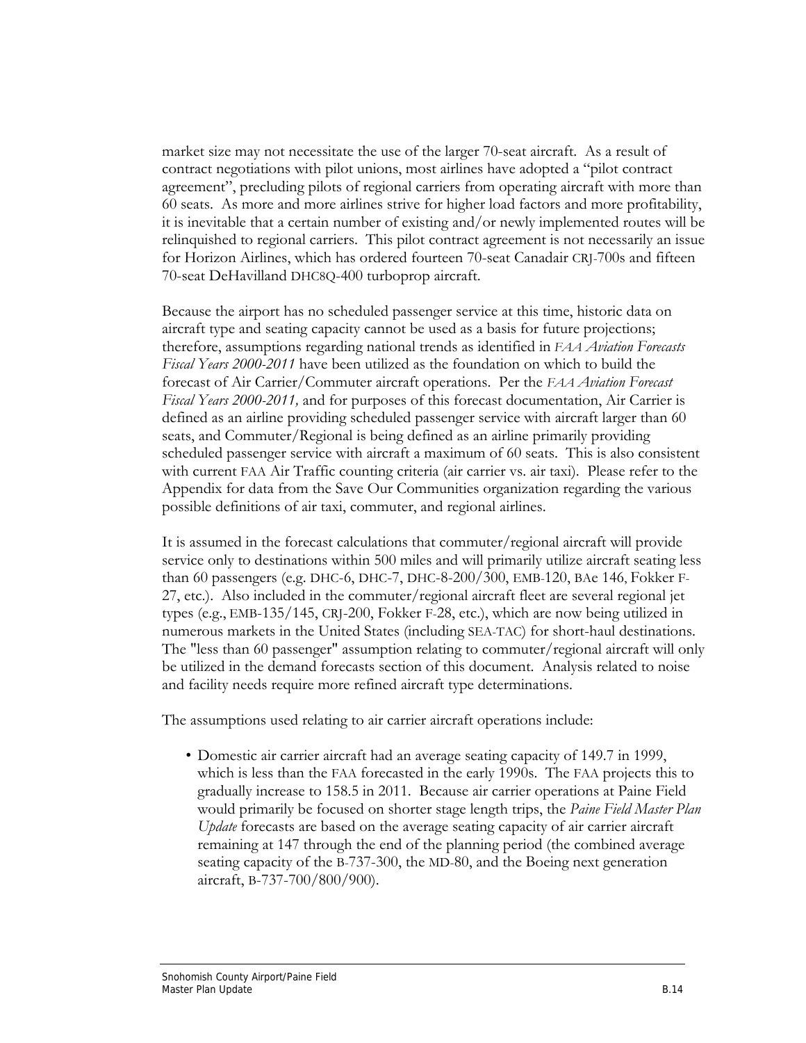market size may not necessitate the use of the larger 70-seat aircraft. As a result of contract negotiations with pilot unions, most airlines have adopted a "pilot contract agreement", precluding pilots of regional carriers from operating aircraft with more than 60 seats. As more and more airlines strive for higher load factors and more profitability, it is inevitable that a certain number of existing and/or newly implemented routes will be relinquished to regional carriers. This pilot contract agreement is not necessarily an issue for Horizon Airlines, which has ordered fourteen 70-seat Canadair CRJ-700s and fifteen 70-seat DeHavilland DHC8Q-400 turboprop aircraft.

Because the airport has no scheduled passenger service at this time, historic data on aircraft type and seating capacity cannot be used as a basis for future projections; therefore, assumptions regarding national trends as identified in *FAA Aviation Forecasts Fiscal Years 2000-2011* have been utilized as the foundation on which to build the forecast of Air Carrier/Commuter aircraft operations. Per the *FAA Aviation Forecast Fiscal Years 2000-2011,* and for purposes of this forecast documentation, Air Carrier is defined as an airline providing scheduled passenger service with aircraft larger than 60 seats, and Commuter/Regional is being defined as an airline primarily providing scheduled passenger service with aircraft a maximum of 60 seats. This is also consistent with current FAA Air Traffic counting criteria (air carrier vs. air taxi). Please refer to the Appendix for data from the Save Our Communities organization regarding the various possible definitions of air taxi, commuter, and regional airlines.

It is assumed in the forecast calculations that commuter/regional aircraft will provide service only to destinations within 500 miles and will primarily utilize aircraft seating less than 60 passengers (e.g. DHC-6, DHC-7, DHC-8-200/300, EMB-120, BAe 146, Fokker F-27, etc.). Also included in the commuter/regional aircraft fleet are several regional jet types (e.g., EMB-135/145, CRJ-200, Fokker F-28, etc.), which are now being utilized in numerous markets in the United States (including SEA-TAC) for short-haul destinations. The "less than 60 passenger" assumption relating to commuter/regional aircraft will only be utilized in the demand forecasts section of this document. Analysis related to noise and facility needs require more refined aircraft type determinations.

The assumptions used relating to air carrier aircraft operations include:

• Domestic air carrier aircraft had an average seating capacity of 149.7 in 1999, which is less than the FAA forecasted in the early 1990s. The FAA projects this to gradually increase to 158.5 in 2011. Because air carrier operations at Paine Field would primarily be focused on shorter stage length trips, the *Paine Field Master Plan Update* forecasts are based on the average seating capacity of air carrier aircraft remaining at 147 through the end of the planning period (the combined average seating capacity of the B-737-300, the MD-80, and the Boeing next generation aircraft, B-737-700/800/900).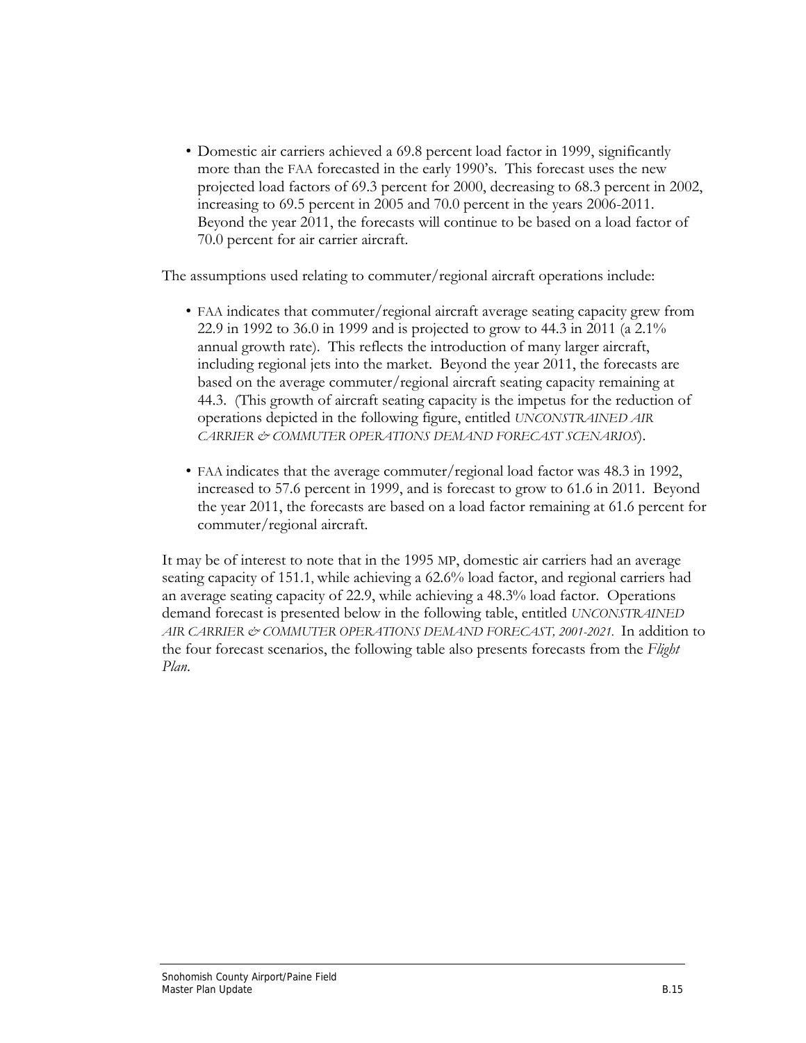• Domestic air carriers achieved a 69.8 percent load factor in 1999, significantly more than the FAA forecasted in the early 1990's. This forecast uses the new projected load factors of 69.3 percent for 2000, decreasing to 68.3 percent in 2002, increasing to 69.5 percent in 2005 and 70.0 percent in the years 2006-2011. Beyond the year 2011, the forecasts will continue to be based on a load factor of 70.0 percent for air carrier aircraft.

The assumptions used relating to commuter/regional aircraft operations include:

- FAA indicates that commuter/regional aircraft average seating capacity grew from 22.9 in 1992 to 36.0 in 1999 and is projected to grow to 44.3 in 2011 (a 2.1% annual growth rate). This reflects the introduction of many larger aircraft, including regional jets into the market. Beyond the year 2011, the forecasts are based on the average commuter/regional aircraft seating capacity remaining at 44.3. (This growth of aircraft seating capacity is the impetus for the reduction of operations depicted in the following figure, entitled *UNCONSTRAINED AIR CARRIER & COMMUTER OPERATIONS DEMAND FORECAST SCENARIOS*).
- FAA indicates that the average commuter/regional load factor was 48.3 in 1992, increased to 57.6 percent in 1999, and is forecast to grow to 61.6 in 2011. Beyond the year 2011, the forecasts are based on a load factor remaining at 61.6 percent for commuter/regional aircraft.

It may be of interest to note that in the 1995 MP, domestic air carriers had an average seating capacity of 151.1, while achieving a 62.6% load factor, and regional carriers had an average seating capacity of 22.9, while achieving a 48.3% load factor. Operations demand forecast is presented below in the following table, entitled *UNCONSTRAINED AIR CARRIER & COMMUTER OPERATIONS DEMAND FORECAST, 2001-2021.* In addition to the four forecast scenarios, the following table also presents forecasts from the *Flight Plan*.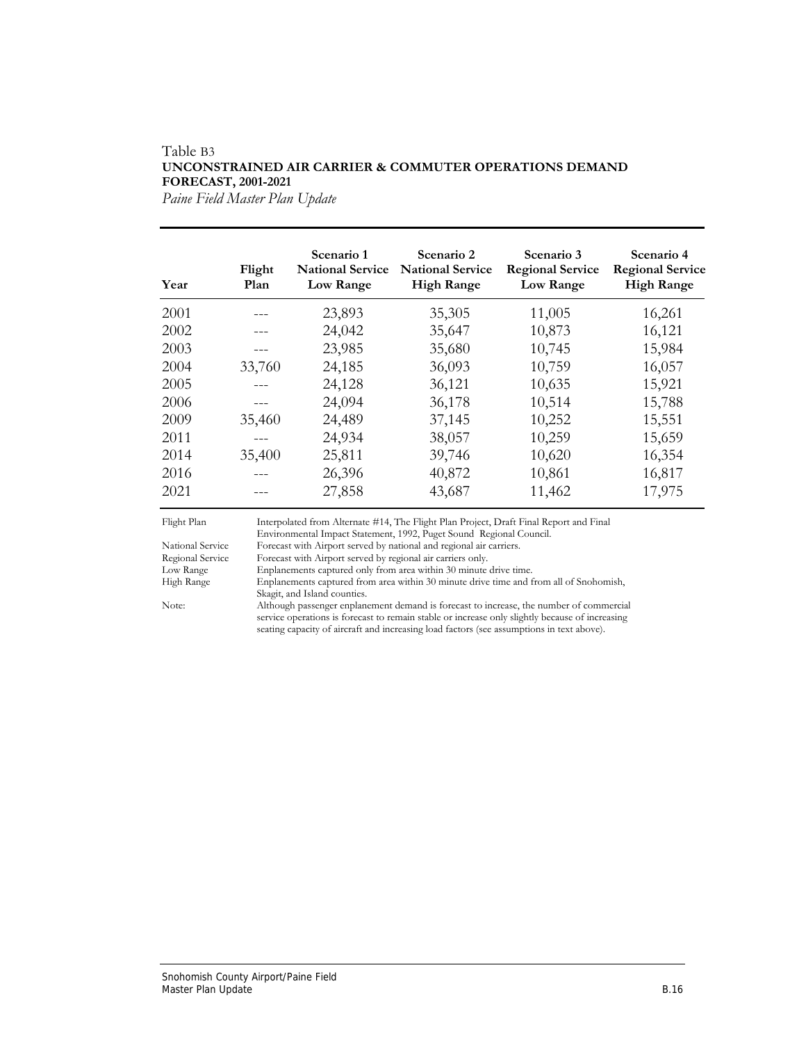#### Table B3 **UNCONSTRAINED AIR CARRIER & COMMUTER OPERATIONS DEMAND FORECAST, 2001-2021**

*Paine Field Master Plan Update*

| Year | Flight<br>Plan | Scenario 1<br><b>National Service</b><br>Low Range | Scenario 2<br><b>National Service</b><br><b>High Range</b> | Scenario 3<br><b>Regional Service</b><br>Low Range | Scenario 4<br><b>Regional Service</b><br><b>High Range</b> |
|------|----------------|----------------------------------------------------|------------------------------------------------------------|----------------------------------------------------|------------------------------------------------------------|
| 2001 |                | 23,893                                             | 35,305                                                     | 11,005                                             | 16,261                                                     |
| 2002 |                | 24,042                                             | 35,647                                                     | 10,873                                             | 16,121                                                     |
| 2003 |                | 23,985                                             | 35,680                                                     | 10,745                                             | 15,984                                                     |
| 2004 | 33,760         | 24,185                                             | 36,093                                                     | 10,759                                             | 16,057                                                     |
| 2005 |                | 24,128                                             | 36,121                                                     | 10,635                                             | 15,921                                                     |
| 2006 |                | 24,094                                             | 36,178                                                     | 10,514                                             | 15,788                                                     |
| 2009 | 35,460         | 24,489                                             | 37,145                                                     | 10,252                                             | 15,551                                                     |
| 2011 |                | 24,934                                             | 38,057                                                     | 10,259                                             | 15,659                                                     |
| 2014 | 35,400         | 25,811                                             | 39,746                                                     | 10,620                                             | 16,354                                                     |
| 2016 |                | 26,396                                             | 40,872                                                     | 10,861                                             | 16,817                                                     |
| 2021 |                | 27,858                                             | 43,687                                                     | 11,462                                             | 17,975                                                     |

seating capacity of aircraft and increasing load factors (see assumptions in text above).

Flight Plan Flight Plan Interpolated from Alternate #14, The Flight Plan Project, Draft Final Report and Final Environmental Impact Statement, 1992, Puget Sound Regional Council.<br>National Service Forecast with Airport served by national and regional air carriers. National Service Forecast with Airport served by national and regional air carriers. Regional Service Forecast with Airport served by regional air carriers only. Low Range Enplanements captured only from area within 30 minute drive time. High Range Enplanements captured from area within 30 minute drive time and from all of Snohomish, Skagit, and Island counties.<br>Note: Although passenger enplane Although passenger enplanement demand is forecast to increase, the number of commercial service operations is forecast to remain stable or increase only slightly because of increasing

Snohomish County Airport/Paine Field Master Plan Update **B.16**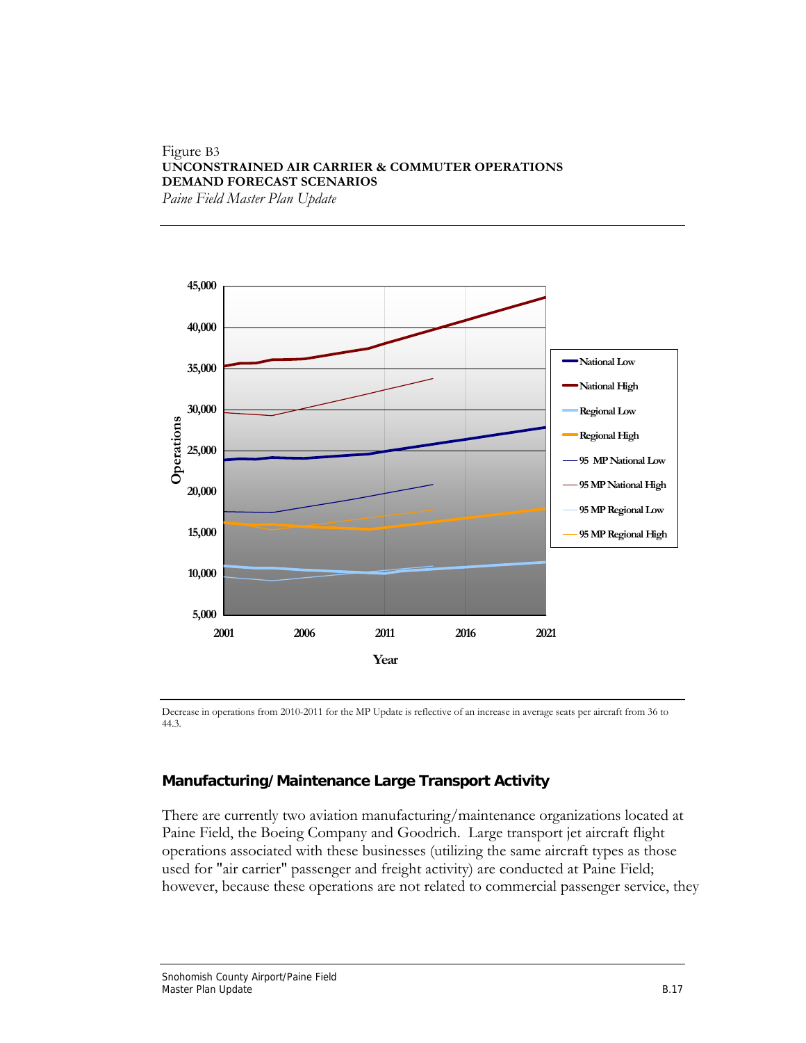#### Figure B3 **UNCONSTRAINED AIR CARRIER & COMMUTER OPERATIONS DEMAND FORECAST SCENARIOS**  *Paine Field Master Plan Update*

**45,000 40,000 National Low 35,000 National High 30,000 Regional Low** Operations **Operations Regional High 25,000 95 MP National Low 95 MP National High 20,000 95 MP Regional Low 15,000 95 MP Regional High10,000 5,000 2001 2006 2011 2016 2021 Year**

 Decrease in operations from 2010-2011 for the MP Update is reflective of an increase in average seats per aircraft from 36 to 44.3.

### **Manufacturing/Maintenance Large Transport Activity**

There are currently two aviation manufacturing/maintenance organizations located at Paine Field, the Boeing Company and Goodrich. Large transport jet aircraft flight operations associated with these businesses (utilizing the same aircraft types as those used for "air carrier" passenger and freight activity) are conducted at Paine Field; however, because these operations are not related to commercial passenger service, they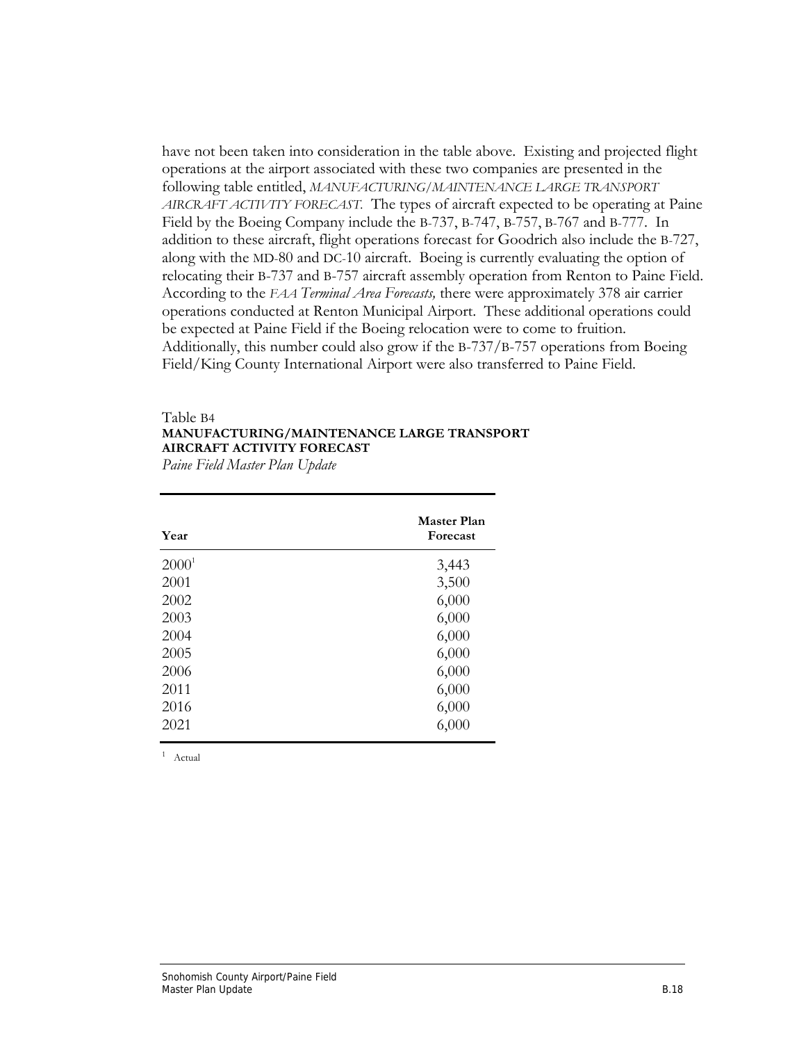have not been taken into consideration in the table above. Existing and projected flight operations at the airport associated with these two companies are presented in the following table entitled, *MANUFACTURING/MAINTENANCE LARGE TRANSPORT AIRCRAFT ACTIVITY FORECAST.* The types of aircraft expected to be operating at Paine Field by the Boeing Company include the B-737, B-747, B-757, B-767 and B-777. In addition to these aircraft, flight operations forecast for Goodrich also include the B-727, along with the MD-80 and DC-10 aircraft. Boeing is currently evaluating the option of relocating their B-737 and B-757 aircraft assembly operation from Renton to Paine Field. According to the *FAA Terminal Area Forecasts,* there were approximately 378 air carrier operations conducted at Renton Municipal Airport. These additional operations could be expected at Paine Field if the Boeing relocation were to come to fruition. Additionally, this number could also grow if the B-737/B-757 operations from Boeing Field/King County International Airport were also transferred to Paine Field.

#### Table B4 **MANUFACTURING/MAINTENANCE LARGE TRANSPORT AIRCRAFT ACTIVITY FORECAST**

*Paine Field Master Plan Update*

| Year     | <b>Master Plan</b><br>Forecast |
|----------|--------------------------------|
| $2000^1$ | 3,443                          |
| 2001     | 3,500                          |
| 2002     | 6,000                          |
| 2003     | 6,000                          |
| 2004     | 6,000                          |
| 2005     | 6,000                          |
| 2006     | 6,000                          |
| 2011     | 6,000                          |
| 2016     | 6,000                          |
| 2021     | 6,000                          |

1 Actual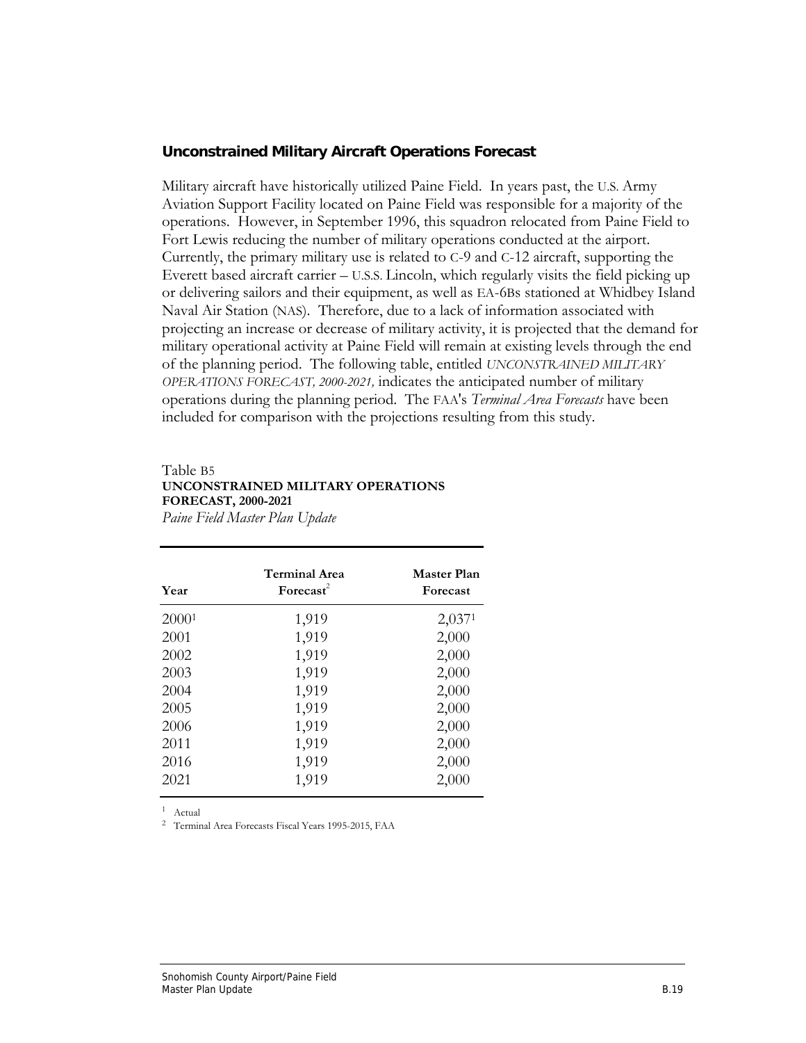#### **Unconstrained Military Aircraft Operations Forecast**

Military aircraft have historically utilized Paine Field. In years past, the U.S. Army Aviation Support Facility located on Paine Field was responsible for a majority of the operations. However, in September 1996, this squadron relocated from Paine Field to Fort Lewis reducing the number of military operations conducted at the airport. Currently, the primary military use is related to C-9 and C-12 aircraft, supporting the Everett based aircraft carrier – U.S.S. Lincoln, which regularly visits the field picking up or delivering sailors and their equipment, as well as EA-6Bs stationed at Whidbey Island Naval Air Station (NAS). Therefore, due to a lack of information associated with projecting an increase or decrease of military activity, it is projected that the demand for military operational activity at Paine Field will remain at existing levels through the end of the planning period. The following table, entitled *UNCONSTRAINED MILITARY OPERATIONS FORECAST, 2000-2021,* indicates the anticipated number of military operations during the planning period. The FAA's *Terminal Area Forecasts* have been included for comparison with the projections resulting from this study.

### Table B5 **UNCONSTRAINED MILITARY OPERATIONS FORECAST, 2000-2021**

*Paine Field Master Plan Update*

| Year              | <b>Terminal Area</b><br>$\textbf{Forecast}^2$ | <b>Master Plan</b><br><b>Forecast</b> |
|-------------------|-----------------------------------------------|---------------------------------------|
| 2000 <sup>1</sup> | 1,919                                         | 2,0371                                |
| 2001              | 1,919                                         | 2,000                                 |
| 2002              | 1,919                                         | 2,000                                 |
| 2003              | 1,919                                         | 2,000                                 |
| 2004              | 1,919                                         | 2,000                                 |
| 2005              | 1,919                                         | 2,000                                 |
| 2006              | 1,919                                         | 2,000                                 |
| 2011              | 1,919                                         | 2,000                                 |
| 2016              | 1,919                                         | 2,000                                 |
| 2021              | 1,919                                         | 2,000                                 |

1 Actual

2 Terminal Area Forecasts Fiscal Years 1995-2015, FAA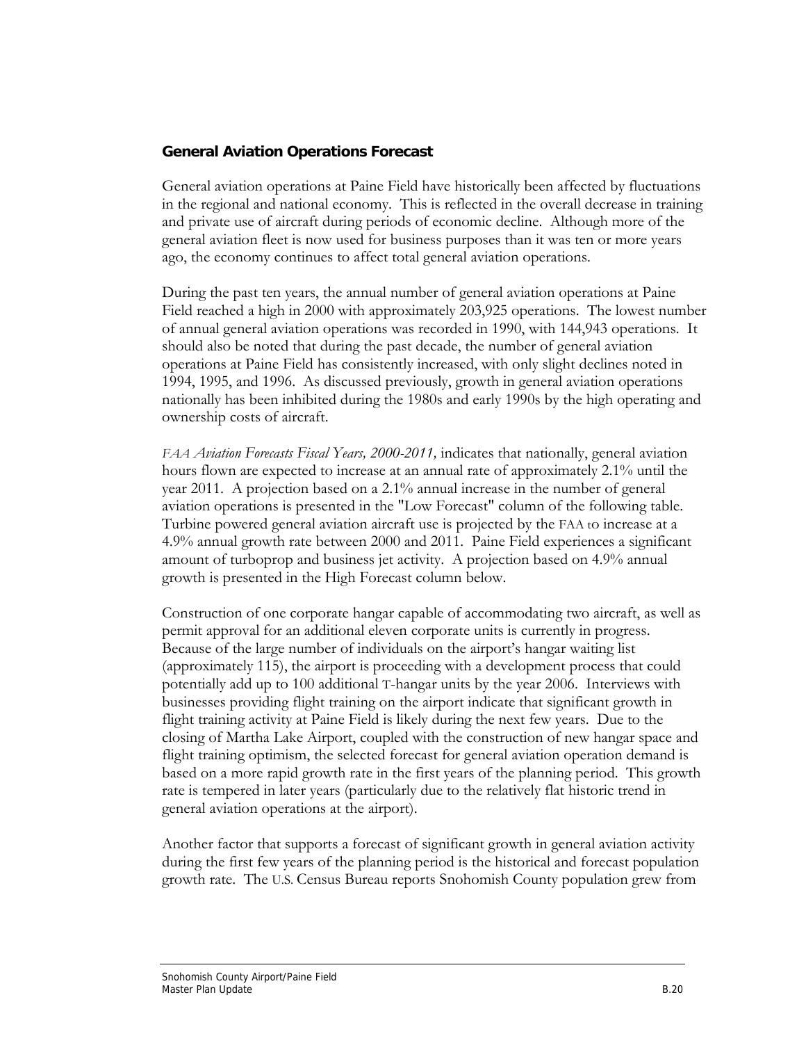### **General Aviation Operations Forecast**

General aviation operations at Paine Field have historically been affected by fluctuations in the regional and national economy. This is reflected in the overall decrease in training and private use of aircraft during periods of economic decline. Although more of the general aviation fleet is now used for business purposes than it was ten or more years ago, the economy continues to affect total general aviation operations.

During the past ten years, the annual number of general aviation operations at Paine Field reached a high in 2000 with approximately 203,925 operations. The lowest number of annual general aviation operations was recorded in 1990, with 144,943 operations. It should also be noted that during the past decade, the number of general aviation operations at Paine Field has consistently increased, with only slight declines noted in 1994, 1995, and 1996. As discussed previously, growth in general aviation operations nationally has been inhibited during the 1980s and early 1990s by the high operating and ownership costs of aircraft.

*FAA Aviation Forecasts Fiscal Years, 2000-2011,* indicates that nationally, general aviation hours flown are expected to increase at an annual rate of approximately 2.1% until the year 2011. A projection based on a 2.1% annual increase in the number of general aviation operations is presented in the "Low Forecast" column of the following table. Turbine powered general aviation aircraft use is projected by the FAA to increase at a 4.9% annual growth rate between 2000 and 2011. Paine Field experiences a significant amount of turboprop and business jet activity. A projection based on 4.9% annual growth is presented in the High Forecast column below.

Construction of one corporate hangar capable of accommodating two aircraft, as well as permit approval for an additional eleven corporate units is currently in progress. Because of the large number of individuals on the airport's hangar waiting list (approximately 115), the airport is proceeding with a development process that could potentially add up to 100 additional T-hangar units by the year 2006. Interviews with businesses providing flight training on the airport indicate that significant growth in flight training activity at Paine Field is likely during the next few years. Due to the closing of Martha Lake Airport, coupled with the construction of new hangar space and flight training optimism, the selected forecast for general aviation operation demand is based on a more rapid growth rate in the first years of the planning period. This growth rate is tempered in later years (particularly due to the relatively flat historic trend in general aviation operations at the airport).

Another factor that supports a forecast of significant growth in general aviation activity during the first few years of the planning period is the historical and forecast population growth rate. The U.S. Census Bureau reports Snohomish County population grew from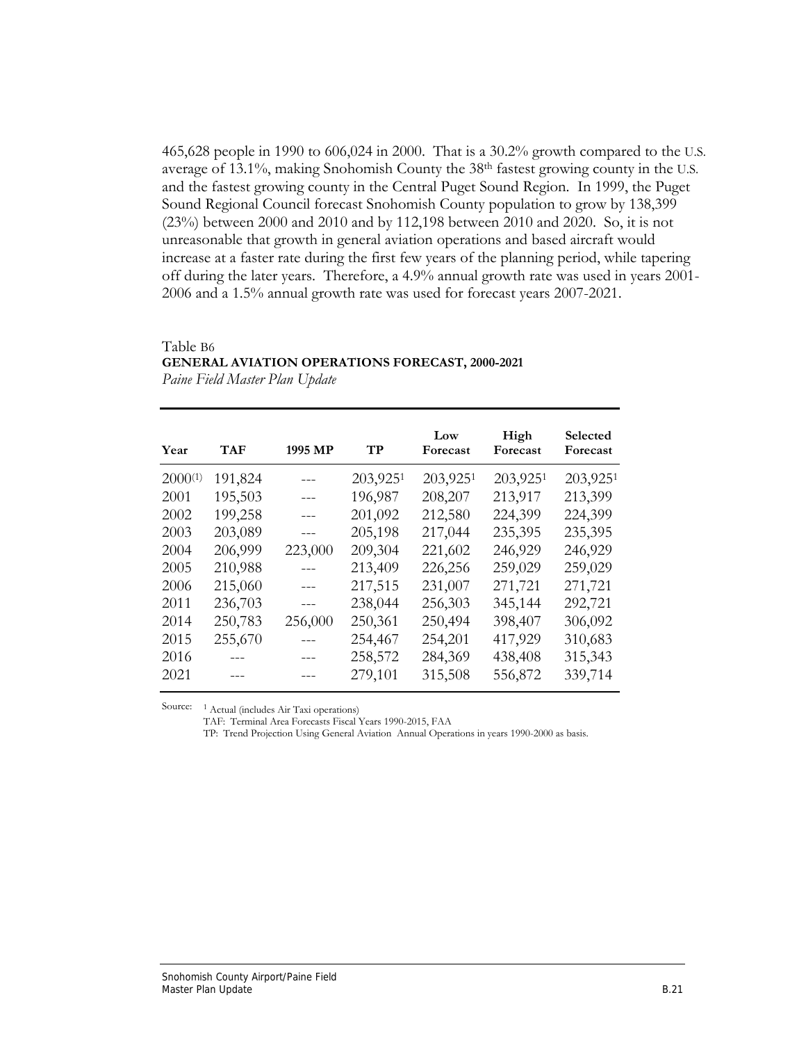465,628 people in 1990 to 606,024 in 2000. That is a 30.2% growth compared to the U.S. average of 13.1%, making Snohomish County the 38th fastest growing county in the U.S. and the fastest growing county in the Central Puget Sound Region. In 1999, the Puget Sound Regional Council forecast Snohomish County population to grow by 138,399 (23%) between 2000 and 2010 and by 112,198 between 2010 and 2020. So, it is not unreasonable that growth in general aviation operations and based aircraft would increase at a faster rate during the first few years of the planning period, while tapering off during the later years. Therefore, a 4.9% annual growth rate was used in years 2001- 2006 and a 1.5% annual growth rate was used for forecast years 2007-2021.

#### Table B6

### **GENERAL AVIATION OPERATIONS FORECAST, 2000-2021**

*Paine Field Master Plan Update*

| Year         | <b>TAF</b> | 1995 MP | TP       | Low<br>Forecast | High<br>Forecast | Selected<br>Forecast |
|--------------|------------|---------|----------|-----------------|------------------|----------------------|
| $2000^{(1)}$ | 191,824    | ---     | 203,9251 | 203,9251        | 203,9251         | 203,9251             |
| 2001         | 195,503    | ---     | 196,987  | 208,207         | 213,917          | 213,399              |
| 2002         | 199,258    | ---     | 201,092  | 212,580         | 224,399          | 224,399              |
| 2003         | 203,089    | ---     | 205,198  | 217,044         | 235,395          | 235,395              |
| 2004         | 206,999    | 223,000 | 209,304  | 221,602         | 246,929          | 246,929              |
| 2005         | 210,988    |         | 213,409  | 226,256         | 259,029          | 259,029              |
| 2006         | 215,060    | $---$   | 217,515  | 231,007         | 271,721          | 271,721              |
| 2011         | 236,703    |         | 238,044  | 256,303         | 345,144          | 292,721              |
| 2014         | 250,783    | 256,000 | 250,361  | 250,494         | 398,407          | 306,092              |
| 2015         | 255,670    |         | 254,467  | 254,201         | 417,929          | 310,683              |
| 2016         |            | ---     | 258,572  | 284,369         | 438,408          | 315,343              |
| 2021         |            |         | 279,101  | 315,508         | 556,872          | 339,714              |
|              |            |         |          |                 |                  |                      |

Source: 1 Actual (includes Air Taxi operations)

TAF: Terminal Area Forecasts Fiscal Years 1990-2015, FAA

TP: Trend Projection Using General Aviation Annual Operations in years 1990-2000 as basis.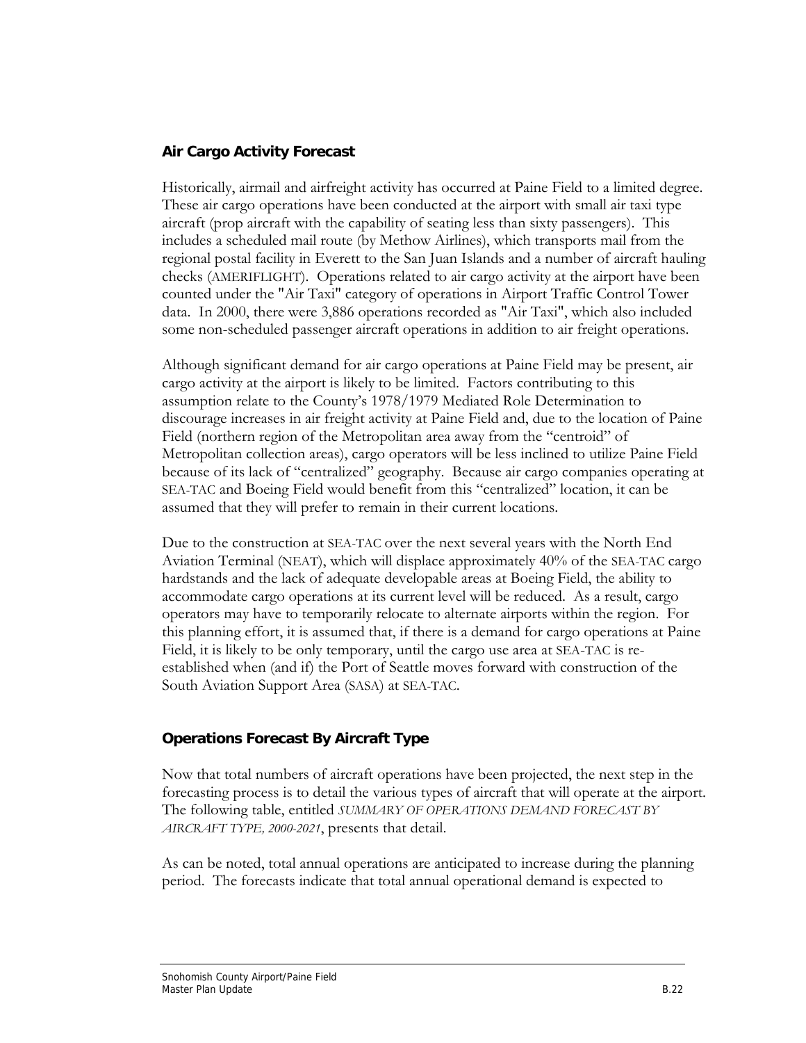### **Air Cargo Activity Forecast**

Historically, airmail and airfreight activity has occurred at Paine Field to a limited degree. These air cargo operations have been conducted at the airport with small air taxi type aircraft (prop aircraft with the capability of seating less than sixty passengers). This includes a scheduled mail route (by Methow Airlines), which transports mail from the regional postal facility in Everett to the San Juan Islands and a number of aircraft hauling checks (AMERIFLIGHT). Operations related to air cargo activity at the airport have been counted under the "Air Taxi" category of operations in Airport Traffic Control Tower data. In 2000, there were 3,886 operations recorded as "Air Taxi", which also included some non-scheduled passenger aircraft operations in addition to air freight operations.

Although significant demand for air cargo operations at Paine Field may be present, air cargo activity at the airport is likely to be limited. Factors contributing to this assumption relate to the County's 1978/1979 Mediated Role Determination to discourage increases in air freight activity at Paine Field and, due to the location of Paine Field (northern region of the Metropolitan area away from the "centroid" of Metropolitan collection areas), cargo operators will be less inclined to utilize Paine Field because of its lack of "centralized" geography. Because air cargo companies operating at SEA-TAC and Boeing Field would benefit from this "centralized" location, it can be assumed that they will prefer to remain in their current locations.

Due to the construction at SEA-TAC over the next several years with the North End Aviation Terminal (NEAT), which will displace approximately 40% of the SEA-TAC cargo hardstands and the lack of adequate developable areas at Boeing Field, the ability to accommodate cargo operations at its current level will be reduced. As a result, cargo operators may have to temporarily relocate to alternate airports within the region. For this planning effort, it is assumed that, if there is a demand for cargo operations at Paine Field, it is likely to be only temporary, until the cargo use area at SEA-TAC is reestablished when (and if) the Port of Seattle moves forward with construction of the South Aviation Support Area (SASA) at SEA-TAC.

### **Operations Forecast By Aircraft Type**

Now that total numbers of aircraft operations have been projected, the next step in the forecasting process is to detail the various types of aircraft that will operate at the airport. The following table, entitled *SUMMARY OF OPERATIONS DEMAND FORECAST BY AIRCRAFT TYPE, 2000-2021*, presents that detail.

As can be noted, total annual operations are anticipated to increase during the planning period. The forecasts indicate that total annual operational demand is expected to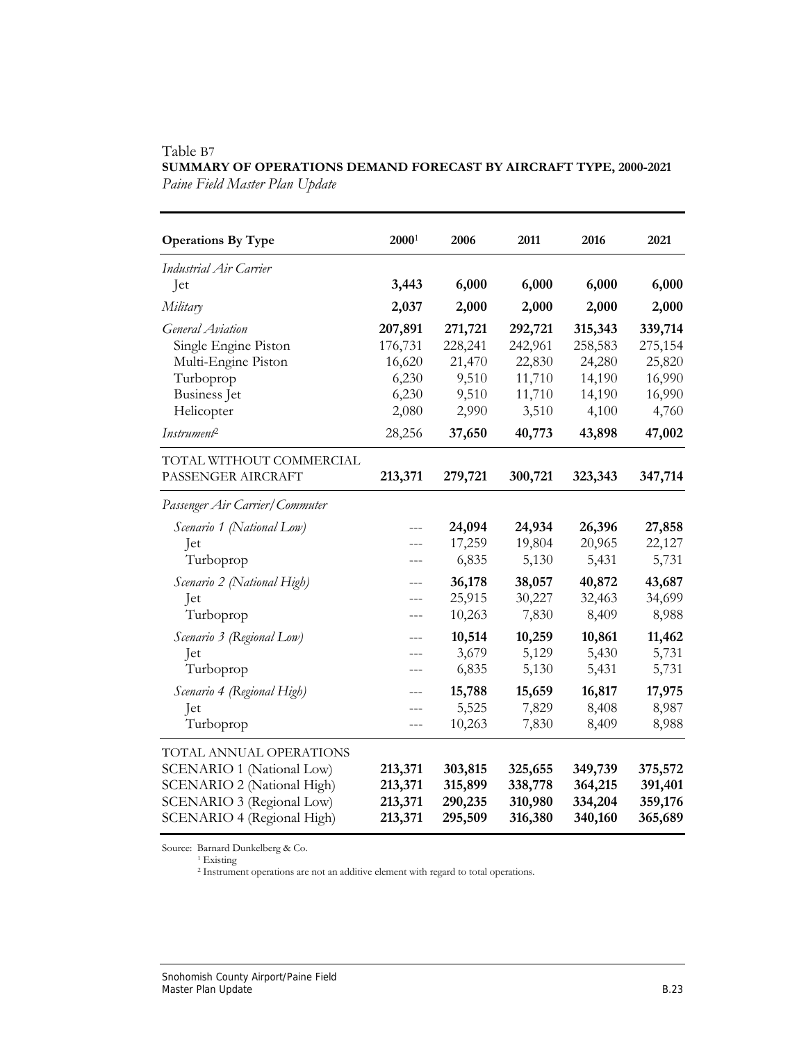| <b>Operations By Type</b>                                                                                                                            | $2000^1$                                                | 2006                                                    | 2011                                                      | 2016                                                      | 2021                                                      |
|------------------------------------------------------------------------------------------------------------------------------------------------------|---------------------------------------------------------|---------------------------------------------------------|-----------------------------------------------------------|-----------------------------------------------------------|-----------------------------------------------------------|
| <b>Industrial Air Carrier</b>                                                                                                                        |                                                         |                                                         |                                                           |                                                           |                                                           |
| Jet                                                                                                                                                  | 3,443                                                   | 6,000                                                   | 6,000                                                     | 6,000                                                     | 6,000                                                     |
| Military                                                                                                                                             | 2,037                                                   | 2,000                                                   | 2,000                                                     | 2,000                                                     | 2,000                                                     |
| General Aviation<br>Single Engine Piston<br>Multi-Engine Piston<br>Turboprop<br>Business Jet<br>Helicopter                                           | 207,891<br>176,731<br>16,620<br>6,230<br>6,230<br>2,080 | 271,721<br>228,241<br>21,470<br>9,510<br>9,510<br>2,990 | 292,721<br>242,961<br>22,830<br>11,710<br>11,710<br>3,510 | 315,343<br>258,583<br>24,280<br>14,190<br>14,190<br>4,100 | 339,714<br>275,154<br>25,820<br>16,990<br>16,990<br>4,760 |
| Instrument <sup>2</sup>                                                                                                                              | 28,256                                                  | 37,650                                                  | 40,773                                                    | 43,898                                                    | 47,002                                                    |
| TOTAL WITHOUT COMMERCIAL<br>PASSENGER AIRCRAFT                                                                                                       | 213,371                                                 | 279,721                                                 | 300,721                                                   | 323,343                                                   | 347,714                                                   |
| Passenger Air Carrier/Commuter                                                                                                                       |                                                         |                                                         |                                                           |                                                           |                                                           |
| Scenario 1 (National Low)<br>Jet<br>Turboprop                                                                                                        | $---$<br>$---$<br>$- - -$                               | 24,094<br>17,259<br>6,835                               | 24,934<br>19,804<br>5,130                                 | 26,396<br>20,965<br>5,431                                 | 27,858<br>22,127<br>5,731                                 |
| Scenario 2 (National High)<br>Jet<br>Turboprop                                                                                                       | $---$<br>$- - -$<br>---                                 | 36,178<br>25,915<br>10,263                              | 38,057<br>30,227<br>7,830                                 | 40,872<br>32,463<br>8,409                                 | 43,687<br>34,699<br>8,988                                 |
| Scenario 3 (Regional Low)<br>Jet<br>Turboprop                                                                                                        | $---$<br>$- - -$<br>---                                 | 10,514<br>3,679<br>6,835                                | 10,259<br>5,129<br>5,130                                  | 10,861<br>5,430<br>5,431                                  | 11,462<br>5,731<br>5,731                                  |
| Scenario 4 (Regional High)<br>Jet<br>Turboprop                                                                                                       | $---$<br>---<br>$ -$                                    | 15,788<br>5,525<br>10,263                               | 15,659<br>7,829<br>7,830                                  | 16,817<br>8,408<br>8,409                                  | 17,975<br>8,987<br>8,988                                  |
| TOTAL ANNUAL OPERATIONS<br><b>SCENARIO 1 (National Low)</b><br>SCENARIO 2 (National High)<br>SCENARIO 3 (Regional Low)<br>SCENARIO 4 (Regional High) | 213,371<br>213,371<br>213,371<br>213,371                | 303,815<br>315,899<br>290,235<br>295,509                | 325,655<br>338,778<br>310,980<br>316,380                  | 349,739<br>364,215<br>334,204<br>340,160                  | 375,572<br>391,401<br>359,176<br>365,689                  |

### Table B7 **SUMMARY OF OPERATIONS DEMAND FORECAST BY AIRCRAFT TYPE, 2000-2021**  *Paine Field Master Plan Update*

Source: Barnard Dunkelberg & Co.<br><sup>1</sup> Existing

2 Instrument operations are not an additive element with regard to total operations.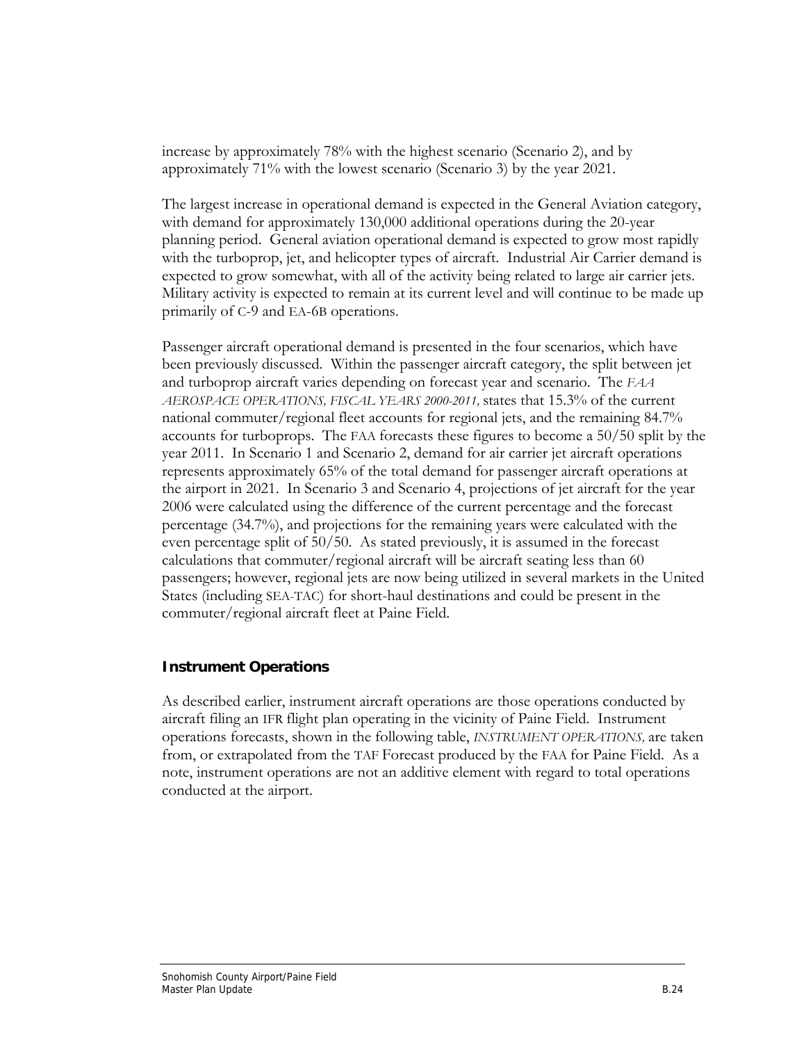increase by approximately 78% with the highest scenario (Scenario 2), and by approximately 71% with the lowest scenario (Scenario 3) by the year 2021.

The largest increase in operational demand is expected in the General Aviation category, with demand for approximately 130,000 additional operations during the 20-year planning period. General aviation operational demand is expected to grow most rapidly with the turboprop, jet, and helicopter types of aircraft. Industrial Air Carrier demand is expected to grow somewhat, with all of the activity being related to large air carrier jets. Military activity is expected to remain at its current level and will continue to be made up primarily of C-9 and EA-6B operations.

Passenger aircraft operational demand is presented in the four scenarios, which have been previously discussed. Within the passenger aircraft category, the split between jet and turboprop aircraft varies depending on forecast year and scenario. The *FAA AEROSPACE OPERATIONS, FISCAL YEARS 2000-2011,* states that 15.3% of the current national commuter/regional fleet accounts for regional jets, and the remaining 84.7% accounts for turboprops. The FAA forecasts these figures to become a 50/50 split by the year 2011. In Scenario 1 and Scenario 2, demand for air carrier jet aircraft operations represents approximately 65% of the total demand for passenger aircraft operations at the airport in 2021. In Scenario 3 and Scenario 4, projections of jet aircraft for the year 2006 were calculated using the difference of the current percentage and the forecast percentage (34.7%), and projections for the remaining years were calculated with the even percentage split of 50/50. As stated previously, it is assumed in the forecast calculations that commuter/regional aircraft will be aircraft seating less than 60 passengers; however, regional jets are now being utilized in several markets in the United States (including SEA-TAC) for short-haul destinations and could be present in the commuter/regional aircraft fleet at Paine Field.

### **Instrument Operations**

As described earlier, instrument aircraft operations are those operations conducted by aircraft filing an IFR flight plan operating in the vicinity of Paine Field. Instrument operations forecasts, shown in the following table, *INSTRUMENT OPERATIONS,* are taken from, or extrapolated from the TAF Forecast produced by the FAA for Paine Field. As a note, instrument operations are not an additive element with regard to total operations conducted at the airport.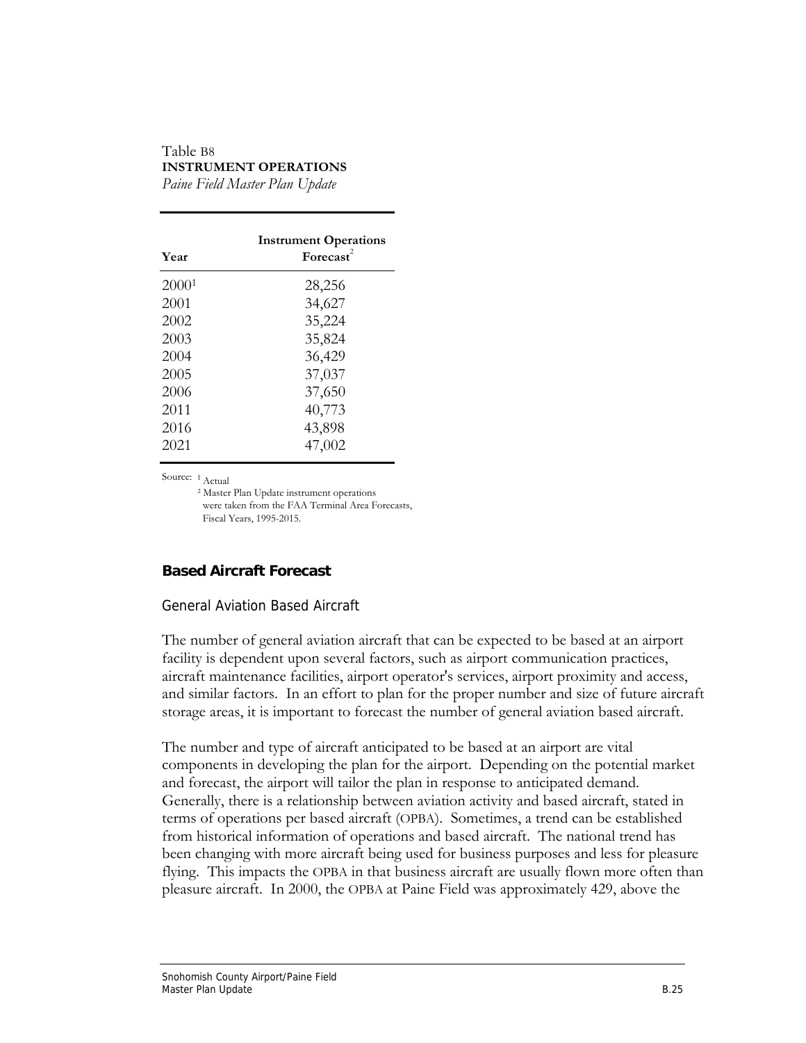#### Table B8 **INSTRUMENT OPERATIONS**  *Paine Field Master Plan Update*

 **Instrument Operations Year** Forecast<sup>2</sup> 20001 28,256 2001 34,627 2002 35,224 2003 35,824 2004 36,429 2005 37,037 2006 37,650 2011 40,773 2016 43,898 2021 47,002

Source: 1 Actual

2 Master Plan Update instrument operations were taken from the FAA Terminal Area Forecasts, Fiscal Years, 1995-2015.

### **Based Aircraft Forecast**

#### General Aviation Based Aircraft

The number of general aviation aircraft that can be expected to be based at an airport facility is dependent upon several factors, such as airport communication practices, aircraft maintenance facilities, airport operator's services, airport proximity and access, and similar factors. In an effort to plan for the proper number and size of future aircraft storage areas, it is important to forecast the number of general aviation based aircraft.

The number and type of aircraft anticipated to be based at an airport are vital components in developing the plan for the airport. Depending on the potential market and forecast, the airport will tailor the plan in response to anticipated demand. Generally, there is a relationship between aviation activity and based aircraft, stated in terms of operations per based aircraft (OPBA). Sometimes, a trend can be established from historical information of operations and based aircraft. The national trend has been changing with more aircraft being used for business purposes and less for pleasure flying. This impacts the OPBA in that business aircraft are usually flown more often than pleasure aircraft. In 2000, the OPBA at Paine Field was approximately 429, above the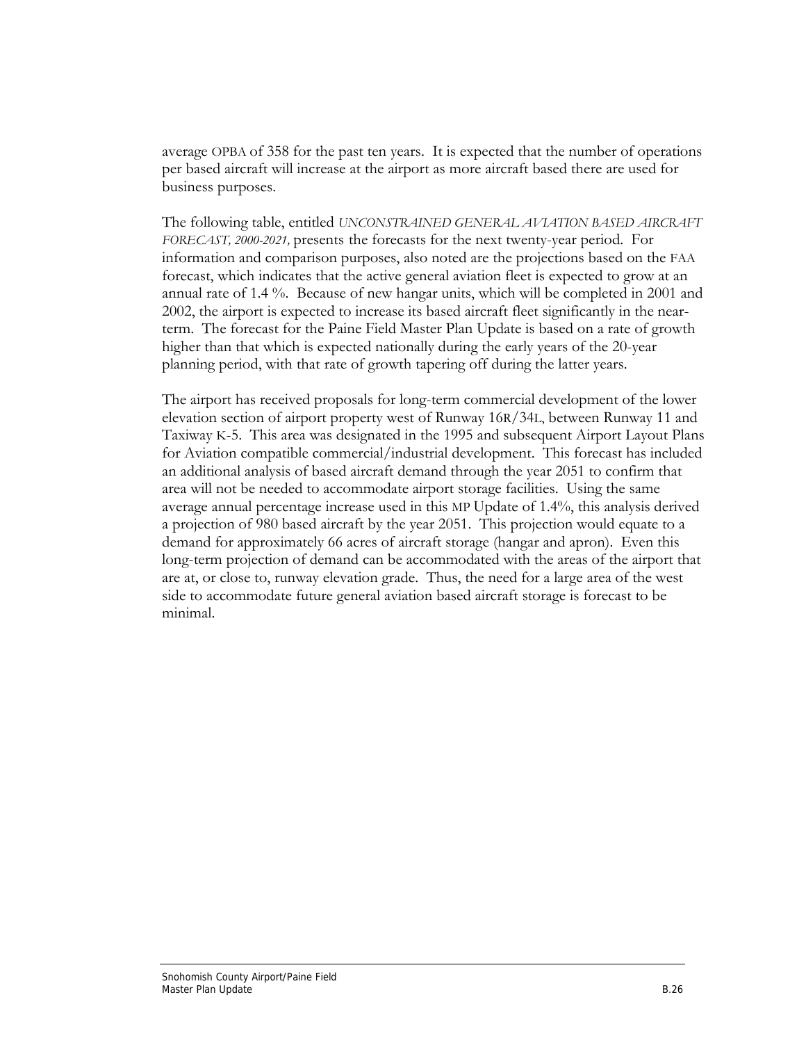average OPBA of 358 for the past ten years. It is expected that the number of operations per based aircraft will increase at the airport as more aircraft based there are used for business purposes.

The following table, entitled *UNCONSTRAINED GENERAL AVIATION BASED AIRCRAFT FORECAST, 2000-2021,* presents the forecasts for the next twenty-year period. For information and comparison purposes, also noted are the projections based on the FAA forecast, which indicates that the active general aviation fleet is expected to grow at an annual rate of 1.4 %. Because of new hangar units, which will be completed in 2001 and 2002, the airport is expected to increase its based aircraft fleet significantly in the nearterm. The forecast for the Paine Field Master Plan Update is based on a rate of growth higher than that which is expected nationally during the early years of the 20-year planning period, with that rate of growth tapering off during the latter years.

The airport has received proposals for long-term commercial development of the lower elevation section of airport property west of Runway 16R/34L, between Runway 11 and Taxiway K-5. This area was designated in the 1995 and subsequent Airport Layout Plans for Aviation compatible commercial/industrial development. This forecast has included an additional analysis of based aircraft demand through the year 2051 to confirm that area will not be needed to accommodate airport storage facilities. Using the same average annual percentage increase used in this MP Update of 1.4%, this analysis derived a projection of 980 based aircraft by the year 2051. This projection would equate to a demand for approximately 66 acres of aircraft storage (hangar and apron). Even this long-term projection of demand can be accommodated with the areas of the airport that are at, or close to, runway elevation grade. Thus, the need for a large area of the west side to accommodate future general aviation based aircraft storage is forecast to be minimal.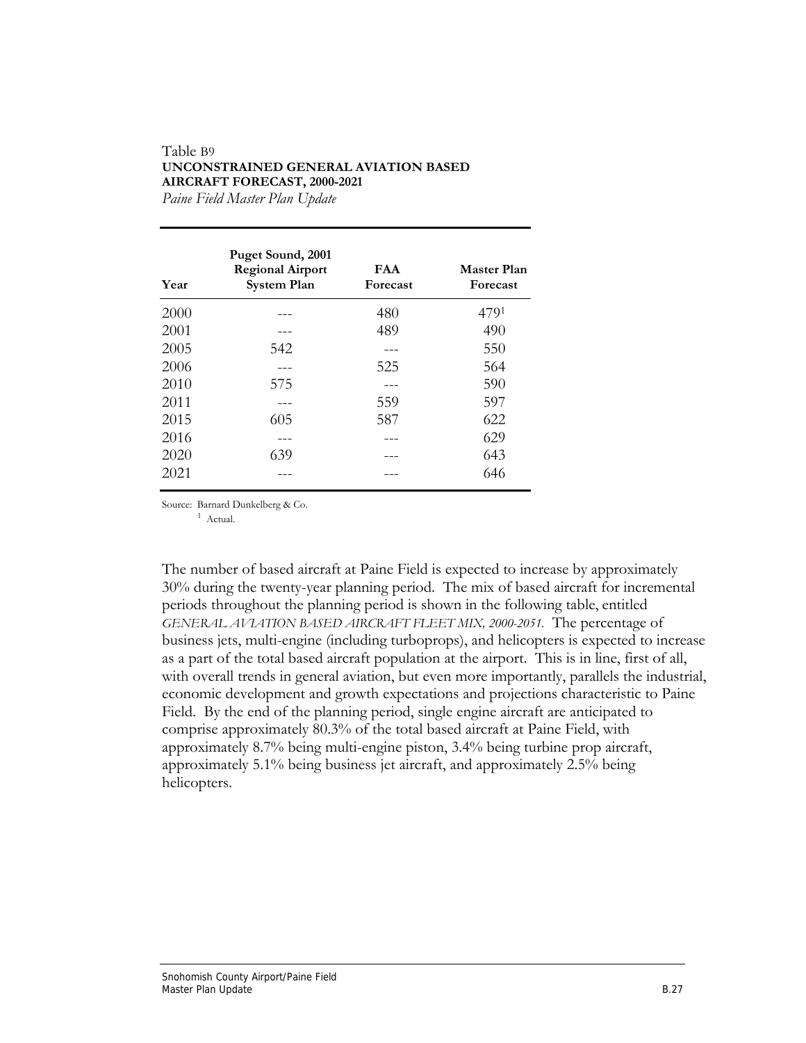#### Table B9 **UNCONSTRAINED GENERAL AVIATION BASED AIRCRAFT FORECAST, 2000-2021**  *Paine Field Master Plan Update*

 **Puget Sound, 2001 Regional Airport FAA Master Plan Year System Plan Forecast Forecast**  2000 --- 480 4791 2001 --- 489 490 2005 542 --- 550 2006 --- 525 564 2010 575 --- 590 2011 --- 559 597 2015 605 587 622 2016 --- --- 629 2020 639 --- 643  $2021$  --- --- -- 646

Source: Barnard Dunkelberg & Co.

1 Actual.

The number of based aircraft at Paine Field is expected to increase by approximately 30% during the twenty-year planning period. The mix of based aircraft for incremental periods throughout the planning period is shown in the following table, entitled *GENERAL AVIATION BASED AIRCRAFT FLEET MIX, 2000-2051.* The percentage of business jets, multi-engine (including turboprops), and helicopters is expected to increase as a part of the total based aircraft population at the airport. This is in line, first of all, with overall trends in general aviation, but even more importantly, parallels the industrial, economic development and growth expectations and projections characteristic to Paine Field. By the end of the planning period, single engine aircraft are anticipated to comprise approximately 80.3% of the total based aircraft at Paine Field, with approximately 8.7% being multi-engine piston, 3.4% being turbine prop aircraft, approximately 5.1% being business jet aircraft, and approximately 2.5% being helicopters.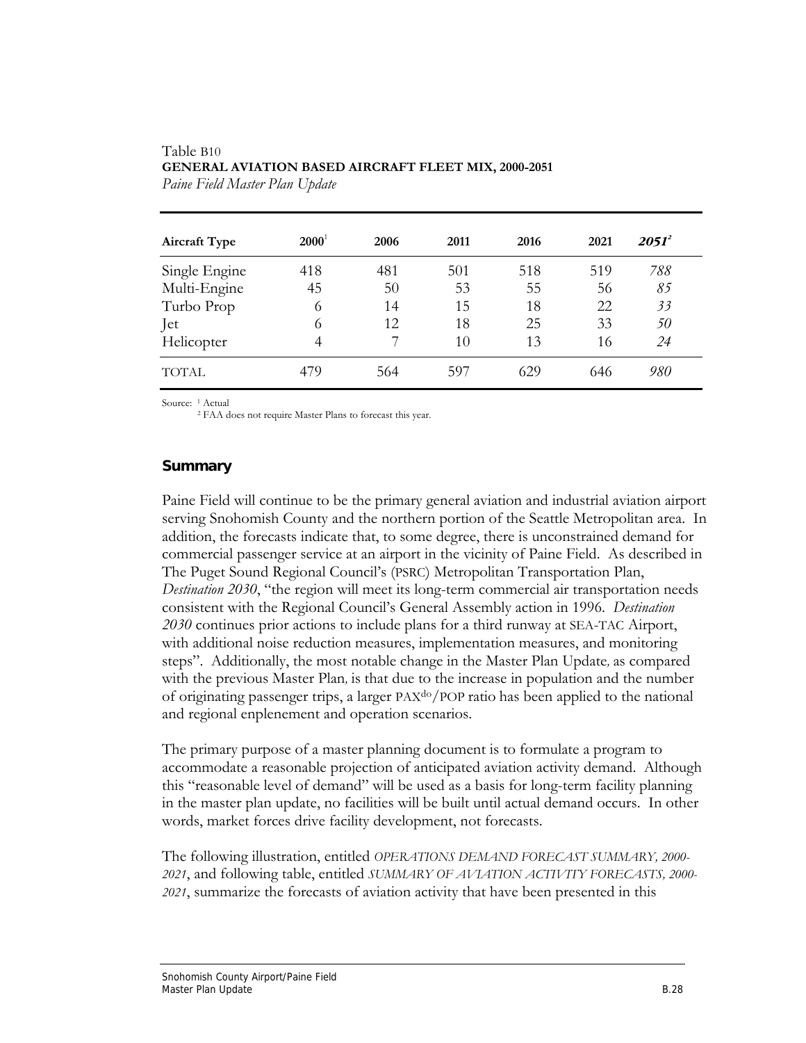| <b>Aircraft Type</b> | $2000^1$ | 2006 | 2011 | 2016 | 2021 | $2051^2$ |  |
|----------------------|----------|------|------|------|------|----------|--|
| Single Engine        | 418      | 481  | 501  | 518  | 519  | 788      |  |
| Multi-Engine         | 45       | 50   | 53   | 55   | 56   | 85       |  |
| Turbo Prop           | 6        | 14   | 15   | 18   | 22   | 33       |  |
| Jet                  | 6        | 12   | 18   | 25   | 33   | 50       |  |
| Helicopter           | 4        |      | 10   | 13   | 16   | 24       |  |
| <b>TOTAL</b>         | 479      | 564  | 597  | 629  | 646  | 980      |  |

### Table B10 **GENERAL AVIATION BASED AIRCRAFT FLEET MIX, 2000-2051**  *Paine Field Master Plan Update*

Source: 1 Actual

2 FAA does not require Master Plans to forecast this year.

### **Summary**

Paine Field will continue to be the primary general aviation and industrial aviation airport serving Snohomish County and the northern portion of the Seattle Metropolitan area. In addition, the forecasts indicate that, to some degree, there is unconstrained demand for commercial passenger service at an airport in the vicinity of Paine Field. As described in The Puget Sound Regional Council's (PSRC) Metropolitan Transportation Plan, *Destination 2030*, "the region will meet its long-term commercial air transportation needs consistent with the Regional Council's General Assembly action in 1996. *Destination 2030* continues prior actions to include plans for a third runway at SEA-TAC Airport, with additional noise reduction measures, implementation measures, and monitoring steps". Additionally, the most notable change in the Master Plan Update*,* as compared with the previous Master Plan*,* is that due to the increase in population and the number of originating passenger trips, a larger PAXdo/POP ratio has been applied to the national and regional enplenement and operation scenarios.

The primary purpose of a master planning document is to formulate a program to accommodate a reasonable projection of anticipated aviation activity demand. Although this "reasonable level of demand" will be used as a basis for long-term facility planning in the master plan update, no facilities will be built until actual demand occurs. In other words, market forces drive facility development, not forecasts.

The following illustration, entitled *OPERATIONS DEMAND FORECAST SUMMARY, 2000- 2021*, and following table, entitled *SUMMARY OF AVIATION ACTIVITY FORECASTS, 2000- 2021*, summarize the forecasts of aviation activity that have been presented in this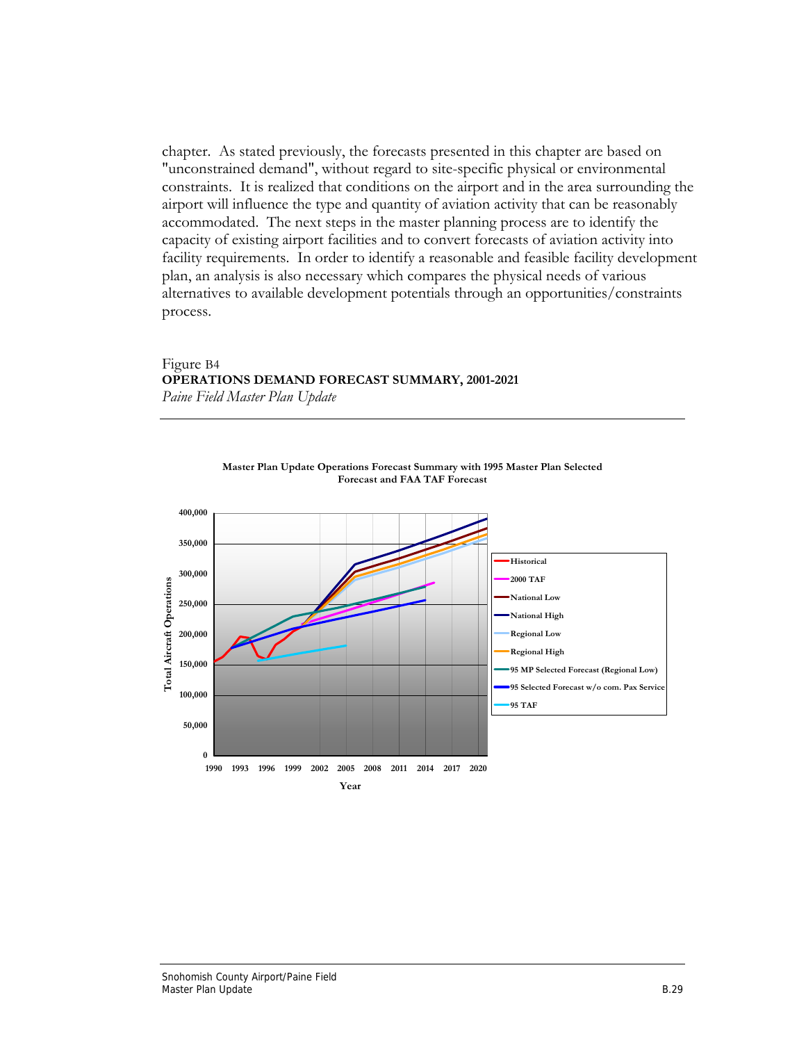chapter. As stated previously, the forecasts presented in this chapter are based on "unconstrained demand", without regard to site-specific physical or environmental constraints. It is realized that conditions on the airport and in the area surrounding the airport will influence the type and quantity of aviation activity that can be reasonably accommodated. The next steps in the master planning process are to identify the capacity of existing airport facilities and to convert forecasts of aviation activity into facility requirements. In order to identify a reasonable and feasible facility development plan, an analysis is also necessary which compares the physical needs of various alternatives to available development potentials through an opportunities/constraints process.

#### Figure B4 **OPERATIONS DEMAND FORECAST SUMMARY, 2001-2021**  *Paine Field Master Plan Update*

**Forecast and FAA TAF Forecast 400,000 350,000 Historical 300,000 2000 TAF Total Aircraft Operations Total Aircraft Operations National Low 250,000 National High 200,000 Regional Low Regional High 150,000 95 MP Selected Forecast (Regional Low) 95 Selected Forecast w/o com. Pax Service 100,000 95 TAF50,000 0 1990 1993 1996 1999 2002 2005 2008 2011 2014 2017 2020 Year**

**Master Plan Update Operations Forecast Summary with 1995 Master Plan Selected**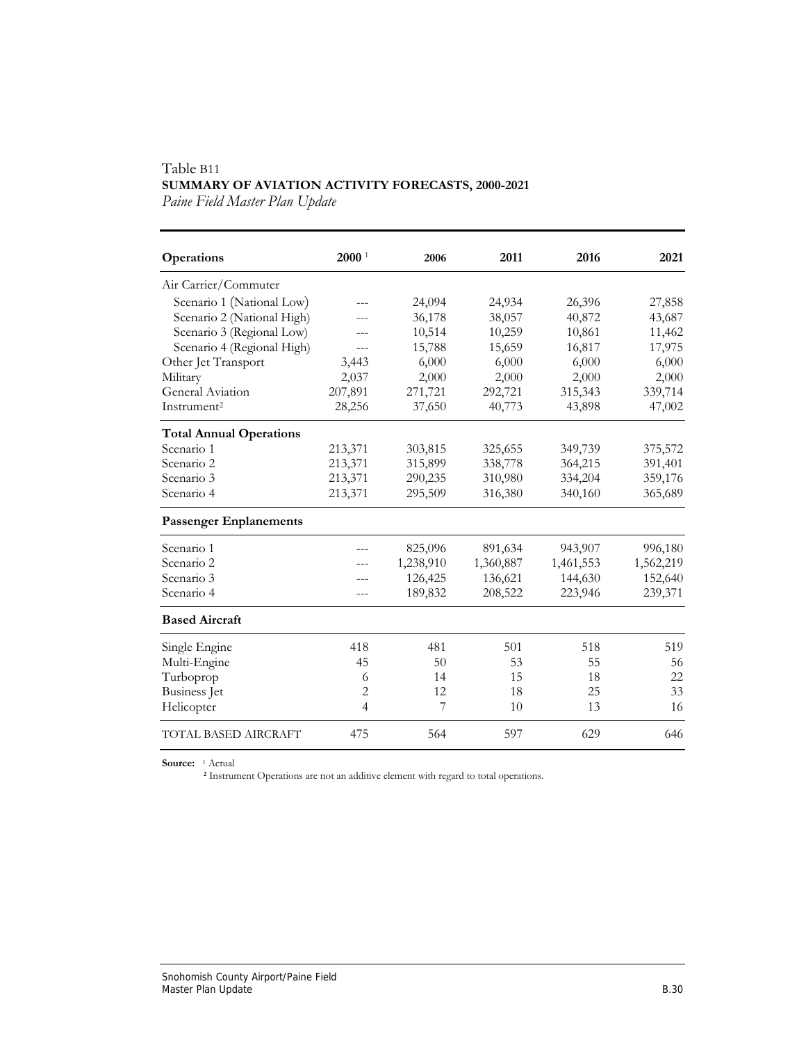## Table B11 **SUMMARY OF AVIATION ACTIVITY FORECASTS, 2000-2021**

*Paine Field Master Plan Update* 

| Operations                     | 2000 <sup>1</sup> | 2006      | 2011      | 2016      | 2021      |
|--------------------------------|-------------------|-----------|-----------|-----------|-----------|
| Air Carrier/Commuter           |                   |           |           |           |           |
| Scenario 1 (National Low)      |                   | 24,094    | 24,934    | 26,396    | 27,858    |
| Scenario 2 (National High)     |                   | 36,178    | 38,057    | 40,872    | 43,687    |
| Scenario 3 (Regional Low)      |                   | 10,514    | 10,259    | 10,861    | 11,462    |
| Scenario 4 (Regional High)     | $---$             | 15,788    | 15,659    | 16,817    | 17,975    |
| Other Jet Transport            | 3,443             | 6,000     | 6,000     | 6,000     | 6,000     |
| Military                       | 2,037             | 2,000     | 2,000     | 2,000     | 2,000     |
| General Aviation               | 207,891           | 271,721   | 292,721   | 315,343   | 339,714   |
| Instrument <sup>2</sup>        | 28,256            | 37,650    | 40,773    | 43,898    | 47,002    |
| <b>Total Annual Operations</b> |                   |           |           |           |           |
| Scenario 1                     | 213,371           | 303,815   | 325,655   | 349,739   | 375,572   |
| Scenario 2                     | 213,371           | 315,899   | 338,778   | 364,215   | 391,401   |
| Scenario 3                     | 213,371           | 290,235   | 310,980   | 334,204   | 359,176   |
| Scenario 4                     | 213,371           | 295,509   | 316,380   | 340,160   | 365,689   |
| <b>Passenger Enplanements</b>  |                   |           |           |           |           |
| Scenario 1                     |                   | 825,096   | 891,634   | 943,907   | 996,180   |
| Scenario 2                     |                   | 1,238,910 | 1,360,887 | 1,461,553 | 1,562,219 |
| Scenario 3                     |                   | 126,425   | 136,621   | 144,630   | 152,640   |
| Scenario 4                     | ---               | 189,832   | 208,522   | 223,946   | 239,371   |
| <b>Based Aircraft</b>          |                   |           |           |           |           |
| Single Engine                  | 418               | 481       | 501       | 518       | 519       |
| Multi-Engine                   | 45                | 50        | 53        | 55        | 56        |
| Turboprop                      | 6                 | 14        | 15        | 18        | 22        |
| <b>Business</b> Jet            | 2                 | 12        | 18        | 25        | 33        |
| Helicopter                     | 4                 | 7         | 10        | 13        | 16        |
| <b>TOTAL BASED AIRCRAFT</b>    | 475               | 564       | 597       | 629       | 646       |

**Source:** 1 Actual

**<sup>2</sup>** Instrument Operations are not an additive element with regard to total operations.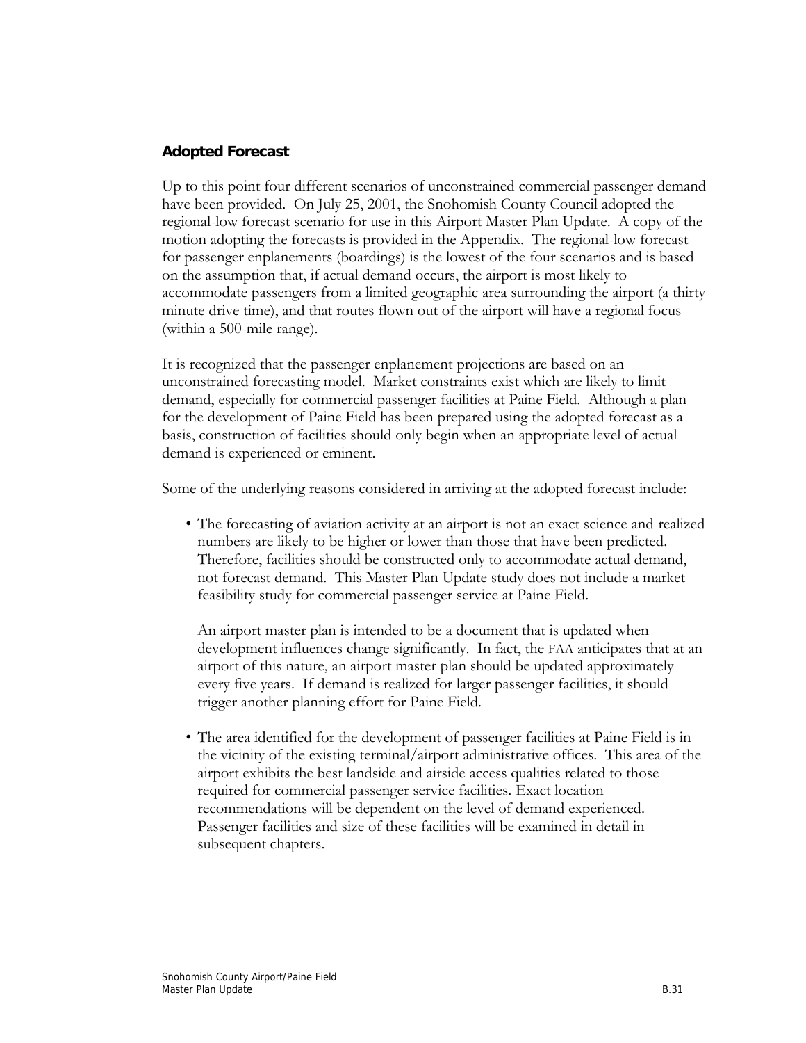### **Adopted Forecast**

Up to this point four different scenarios of unconstrained commercial passenger demand have been provided. On July 25, 2001, the Snohomish County Council adopted the regional-low forecast scenario for use in this Airport Master Plan Update. A copy of the motion adopting the forecasts is provided in the Appendix. The regional-low forecast for passenger enplanements (boardings) is the lowest of the four scenarios and is based on the assumption that, if actual demand occurs, the airport is most likely to accommodate passengers from a limited geographic area surrounding the airport (a thirty minute drive time), and that routes flown out of the airport will have a regional focus (within a 500-mile range).

It is recognized that the passenger enplanement projections are based on an unconstrained forecasting model. Market constraints exist which are likely to limit demand, especially for commercial passenger facilities at Paine Field. Although a plan for the development of Paine Field has been prepared using the adopted forecast as a basis, construction of facilities should only begin when an appropriate level of actual demand is experienced or eminent.

Some of the underlying reasons considered in arriving at the adopted forecast include:

• The forecasting of aviation activity at an airport is not an exact science and realized numbers are likely to be higher or lower than those that have been predicted. Therefore, facilities should be constructed only to accommodate actual demand, not forecast demand. This Master Plan Update study does not include a market feasibility study for commercial passenger service at Paine Field.

 An airport master plan is intended to be a document that is updated when development influences change significantly. In fact, the FAA anticipates that at an airport of this nature, an airport master plan should be updated approximately every five years. If demand is realized for larger passenger facilities, it should trigger another planning effort for Paine Field.

• The area identified for the development of passenger facilities at Paine Field is in the vicinity of the existing terminal/airport administrative offices. This area of the airport exhibits the best landside and airside access qualities related to those required for commercial passenger service facilities. Exact location recommendations will be dependent on the level of demand experienced. Passenger facilities and size of these facilities will be examined in detail in subsequent chapters.